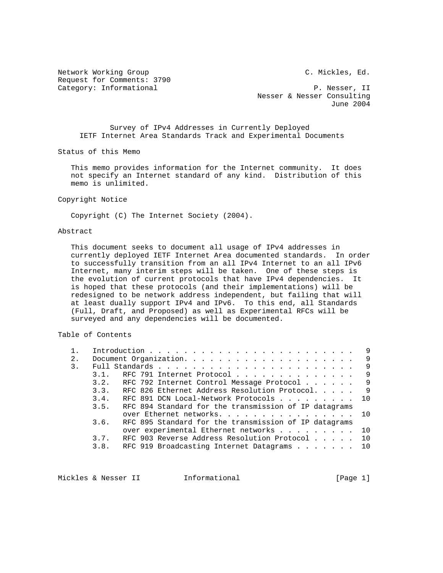Network Working Group C. Mickles, Ed. Request for Comments: 3790 Category: Informational  $P.$  Nesser, II

 Nesser & Nesser Consulting June 2004

 Survey of IPv4 Addresses in Currently Deployed IETF Internet Area Standards Track and Experimental Documents

Status of this Memo

 This memo provides information for the Internet community. It does not specify an Internet standard of any kind. Distribution of this memo is unlimited.

Copyright Notice

Copyright (C) The Internet Society (2004).

# Abstract

 This document seeks to document all usage of IPv4 addresses in currently deployed IETF Internet Area documented standards. In order to successfully transition from an all IPv4 Internet to an all IPv6 Internet, many interim steps will be taken. One of these steps is the evolution of current protocols that have IPv4 dependencies. It is hoped that these protocols (and their implementations) will be redesigned to be network address independent, but failing that will at least dually support IPv4 and IPv6. To this end, all Standards (Full, Draft, and Proposed) as well as Experimental RFCs will be surveyed and any dependencies will be documented.

Table of Contents

|       |      |                                                |                                                       |  |  |  |  |  | 9   |
|-------|------|------------------------------------------------|-------------------------------------------------------|--|--|--|--|--|-----|
| $2$ . |      |                                                |                                                       |  |  |  |  |  | -9  |
| 3.    |      |                                                |                                                       |  |  |  |  |  | 9   |
|       | 3.1. | RFC 791 Internet Protocol                      |                                                       |  |  |  |  |  | 9   |
|       |      | 3.2. RFC 792 Internet Control Message Protocol |                                                       |  |  |  |  |  | - 9 |
|       | 3.3. | RFC 826 Ethernet Address Resolution Protocol.  |                                                       |  |  |  |  |  | - 9 |
|       | 3.4. |                                                | RFC 891 DCN Local-Network Protocols 10                |  |  |  |  |  |     |
|       | 3.5. |                                                | RFC 894 Standard for the transmission of IP datagrams |  |  |  |  |  |     |
|       |      |                                                | over Ethernet networks. 10                            |  |  |  |  |  |     |
|       | 3.6. |                                                | RFC 895 Standard for the transmission of IP datagrams |  |  |  |  |  |     |
|       |      |                                                | over experimental Ethernet networks 10                |  |  |  |  |  |     |
|       | 3.7. |                                                | RFC 903 Reverse Address Resolution Protocol 10        |  |  |  |  |  |     |
|       | 3.8. | RFC 919 Broadcasting Internet Datagrams        |                                                       |  |  |  |  |  | 10  |
|       |      |                                                |                                                       |  |  |  |  |  |     |

Mickles & Nesser II 1nformational 11 and [Page 1]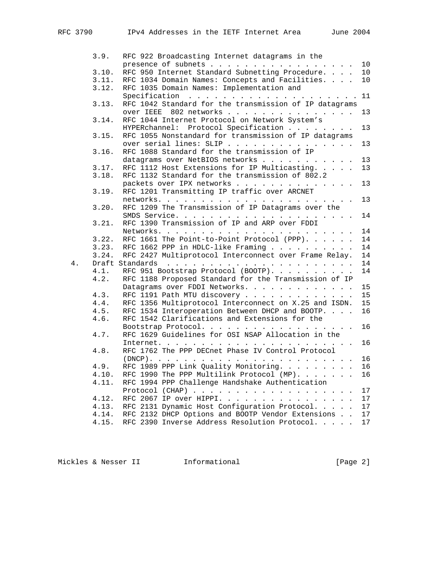|    | 3.9.  | RFC 922 Broadcasting Internet datagrams in the         |          |
|----|-------|--------------------------------------------------------|----------|
|    |       | presence of subnets 10                                 |          |
|    | 3.10. | RFC 950 Internet Standard Subnetting Procedure.        | 10       |
|    | 3.11. | RFC 1034 Domain Names: Concepts and Facilities. 10     |          |
|    | 3.12. | RFC 1035 Domain Names: Implementation and              |          |
|    |       |                                                        |          |
|    | 3.13. | RFC 1042 Standard for the transmission of IP datagrams |          |
|    |       | 802 networks<br>over IEEE                              | 13       |
|    | 3.14. | RFC 1044 Internet Protocol on Network System's         |          |
|    |       | HYPERchannel: Protocol Specification                   | 13       |
|    | 3.15. | RFC 1055 Nonstandard for transmission of IP datagrams  |          |
|    |       | over serial lines: SLIP                                | 13       |
|    | 3.16. | RFC 1088 Standard for the transmission of IP           |          |
|    |       | datagrams over NetBIOS networks                        | 13       |
|    | 3.17. | RFC 1112 Host Extensions for IP Multicasting.          | 13       |
|    | 3.18. | RFC 1132 Standard for the transmission of 802.2        |          |
|    |       | packets over IPX networks                              | 13       |
|    | 3.19. | RFC 1201 Transmitting IP traffic over ARCNET           |          |
|    |       |                                                        | 13       |
|    | 3.20. | RFC 1209 The Transmission of IP Datagrams over the     |          |
|    |       |                                                        | 14       |
|    | 3.21. | RFC 1390 Transmission of IP and ARP over FDDI          |          |
|    |       |                                                        | 14       |
|    | 3.22. | RFC 1661 The Point-to-Point Protocol (PPP).            | 14       |
|    | 3.23. | RFC 1662 PPP in HDLC-like Framing                      | 14       |
|    | 3.24. | RFC 2427 Multiprotocol Interconnect over Frame Relay.  | 14       |
| 4. |       |                                                        | 14       |
|    | 4.1.  | RFC 951 Bootstrap Protocol (BOOTP).                    | 14       |
|    | 4.2.  | RFC 1188 Proposed Standard for the Transmission of IP  |          |
|    |       | Datagrams over FDDI Networks.                          | 15       |
|    | 4.3.  | RFC 1191 Path MTU discovery                            | 15       |
|    | 4.4.  | RFC 1356 Multiprotocol Interconnect on X.25 and ISDN.  | 15       |
|    | 4.5.  | RFC 1534 Interoperation Between DHCP and BOOTP.        | 16       |
|    | 4.6.  | RFC 1542 Clarifications and Extensions for the         |          |
|    |       | Bootstrap Protocol.                                    | 16       |
|    | 4.7.  | RFC 1629 Guidelines for OSI NSAP Allocation in the     |          |
|    |       |                                                        | 16       |
|    | 4.8.  | RFC 1762 The PPP DECnet Phase IV Control Protocol      |          |
|    |       |                                                        | 16       |
|    | 4.9.  | RFC 1989 PPP Link Quality Monitoring.                  | 16       |
|    | 4.10. | RFC 1990 The PPP Multilink Protocol $(MP)$ .           | 16       |
|    | 4.11. | RFC 1994 PPP Challenge Handshake Authentication        |          |
|    |       |                                                        |          |
|    |       | RFC 2067 IP over HIPPI.                                | 17<br>17 |
|    | 4.12. |                                                        |          |
|    | 4.13. | RFC 2131 Dynamic Host Configuration Protocol.          | 17       |
|    | 4.14. | RFC 2132 DHCP Options and BOOTP Vendor Extensions      | 17       |
|    | 4.15. | RFC 2390 Inverse Address Resolution Protocol.          | 17       |

Mickles & Nesser II 1nformational 11 and [Page 2]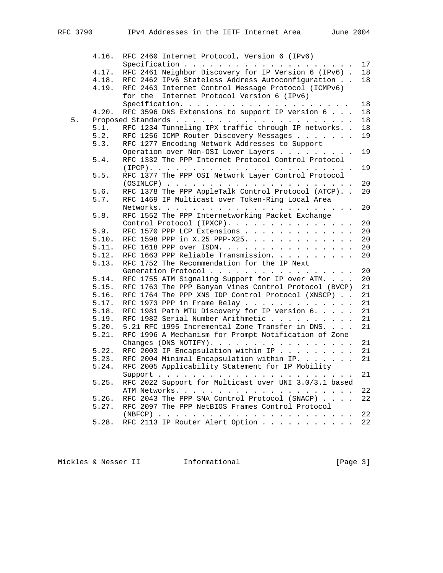|    | 4.16. | RFC 2460 Internet Protocol, Version 6 (IPv6)          |    |
|----|-------|-------------------------------------------------------|----|
|    |       |                                                       | 17 |
|    | 4.17. | RFC 2461 Neighbor Discovery for IP Version 6 (IPv6).  | 18 |
|    | 4.18. | RFC 2462 IPv6 Stateless Address Autoconfiguration     | 18 |
|    | 4.19. | RFC 2463 Internet Control Message Protocol (ICMPv6)   |    |
|    |       | for the Internet Protocol Version 6 (IPv6)            |    |
|    |       |                                                       | 18 |
|    | 4.20. | RFC 3596 DNS Extensions to support IP version 6       | 18 |
| 5. |       |                                                       | 18 |
|    | 5.1.  | RFC 1234 Tunneling IPX traffic through IP networks    | 18 |
|    | 5.2.  | RFC 1256 ICMP Router Discovery Messages               | 19 |
|    | 5.3.  | RFC 1277 Encoding Network Addresses to Support        |    |
|    |       | Operation over Non-OSI Lower Layers                   | 19 |
|    | 5.4.  | RFC 1332 The PPP Internet Protocol Control Protocol   |    |
|    |       |                                                       | 19 |
|    | 5.5.  | RFC 1377 The PPP OSI Network Layer Control Protocol   |    |
|    |       |                                                       | 20 |
|    | 5.6.  | RFC 1378 The PPP AppleTalk Control Protocol (ATCP)    | 20 |
|    | 5.7.  | RFC 1469 IP Multicast over Token-Ring Local Area      |    |
|    |       |                                                       | 20 |
|    | 5.8.  | RFC 1552 The PPP Internetworking Packet Exchange      |    |
|    |       | Control Protocol (IPXCP).                             | 20 |
|    | 5.9.  | RFC 1570 PPP LCP Extensions                           | 20 |
|    | 5.10. | RFC 1598 PPP in X.25 PPP-X25.                         | 20 |
|    | 5.11. | RFC 1618 PPP over ISDN.                               | 20 |
|    | 5.12. | RFC 1663 PPP Reliable Transmission.                   | 20 |
|    | 5.13. | RFC 1752 The Recommendation for the IP Next           |    |
|    |       | Generation Protocol                                   | 20 |
|    | 5.14. | RFC 1755 ATM Signaling Support for IP over ATM.       | 20 |
|    | 5.15. | RFC 1763 The PPP Banyan Vines Control Protocol (BVCP) | 21 |
|    | 5.16. | RFC 1764 The PPP XNS IDP Control Protocol (XNSCP)     | 21 |
|    | 5.17. | RFC 1973 PPP in Frame Relay                           | 21 |
|    | 5.18. | RFC 1981 Path MTU Discovery for IP version 6.         | 21 |
|    | 5.19. | RFC 1982 Serial Number Arithmetic                     | 21 |
|    | 5.20. | 5.21 RFC 1995 Incremental Zone Transfer in DNS.       | 21 |
|    | 5.21. | RFC 1996 A Mechanism for Prompt Notification of Zone  |    |
|    |       | Changes (DNS NOTIFY).                                 | 21 |
|    | 5.22. | RFC 2003 IP Encapsulation within IP                   | 21 |
|    | 5.23. | RFC 2004 Minimal Encapsulation within IP.             | 21 |
|    | 5.24. | RFC 2005 Applicability Statement for IP Mobility      |    |
|    |       |                                                       | 21 |
|    | 5.25. | RFC 2022 Support for Multicast over UNI 3.0/3.1 based |    |
|    |       |                                                       | 22 |
|    | 5.26. | RFC 2043 The PPP SNA Control Protocol (SNACP)         | 22 |
|    | 5.27. | RFC 2097 The PPP NetBIOS Frames Control Protocol      |    |
|    |       |                                                       | 22 |
|    | 5.28. | RFC 2113 IP Router Alert Option                       | 22 |
|    |       |                                                       |    |

Mickles & Nesser II 1nformational 11 and 1980 [Page 3]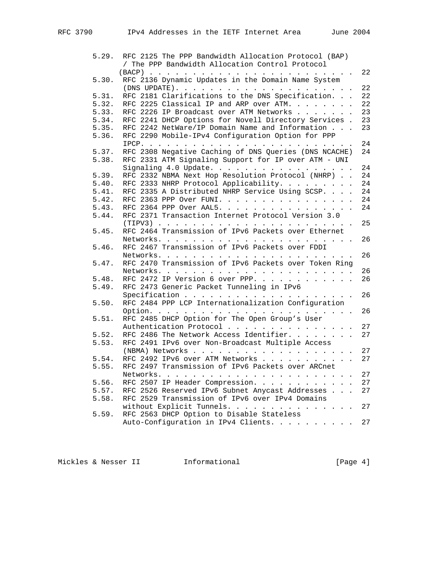| 5.29. | RFC 2125 The PPP Bandwidth Allocation Protocol (BAP)        |
|-------|-------------------------------------------------------------|
|       | / The PPP Bandwidth Allocation Control Protocol             |
|       |                                                             |
| 5.30. | RFC 2136 Dynamic Updates in the Domain Name System          |
|       | 22                                                          |
| 5.31. | RFC 2181 Clarifications to the DNS Specification.<br>22     |
| 5.32. | RFC 2225 Classical IP and ARP over ATM.<br>22               |
| 5.33. | RFC 2226 IP Broadcast over ATM Networks<br>23               |
| 5.34. | RFC 2241 DHCP Options for Novell Directory Services .<br>23 |
| 5.35. | RFC 2242 NetWare/IP Domain Name and Information<br>23       |
| 5.36. | RFC 2290 Mobile-IPv4 Configuration Option for PPP           |
|       | 24                                                          |
| 5.37. | RFC 2308 Negative Caching of DNS Queries (DNS NCACHE)<br>24 |
| 5.38. | RFC 2331 ATM Signaling Support for IP over ATM - UNI        |
|       | 24<br>Signaling 4.0 Update.                                 |
| 5.39. | RFC 2332 NBMA Next Hop Resolution Protocol (NHRP)<br>24     |
| 5.40. | RFC 2333 NHRP Protocol Applicability.<br>24                 |
| 5.41. | RFC 2335 A Distributed NHRP Service Using SCSP.<br>24       |
| 5.42. | RFC 2363 PPP Over FUNI.<br>24                               |
| 5.43. | RFC 2364 PPP Over AAL5.<br>24                               |
| 5.44. | RFC 2371 Transaction Internet Protocol Version 3.0          |
|       | 25<br>RFC 2464 Transmission of IPv6 Packets over Ethernet   |
| 5.45. | 26                                                          |
| 5.46. | RFC 2467 Transmission of IPv6 Packets over FDDI             |
|       | 26                                                          |
| 5.47. | RFC 2470 Transmission of IPv6 Packets over Token Ring       |
|       | 26                                                          |
| 5.48. | RFC 2472 IP Version 6 over PPP.<br>26                       |
| 5.49. | RFC 2473 Generic Packet Tunneling in IPv6                   |
|       | 26                                                          |
| 5.50. | RFC 2484 PPP LCP Internationalization Configuration         |
|       | 26                                                          |
| 5.51. | RFC 2485 DHCP Option for The Open Group's User              |
|       | Authentication Protocol<br>27                               |
| 5.52. | 27<br>RFC 2486 The Network Access Identifier.               |
| 5.53. | RFC 2491 IPv6 over Non-Broadcast Multiple Access            |
|       | 27                                                          |
| 5.54. | RFC 2492 IPv6 over ATM Networks<br>27                       |
| 5.55. | RFC 2497 Transmission of IPv6 Packets over ARCnet           |
|       | 27                                                          |
| 5.56. | RFC 2507 IP Header Compression.<br>27                       |
| 5.57. | RFC 2526 Reserved IPv6 Subnet Anycast Addresses<br>27       |
| 5.58. | RFC 2529 Transmission of IPv6 over IPv4 Domains             |
|       | without Explicit Tunnels. 27                                |
| 5.59. | RFC 2563 DHCP Option to Disable Stateless                   |
|       | Auto-Configuration in IPv4 Clients. 27                      |
|       |                                                             |

Mickles & Nesser II 1nformational 11 and [Page 4]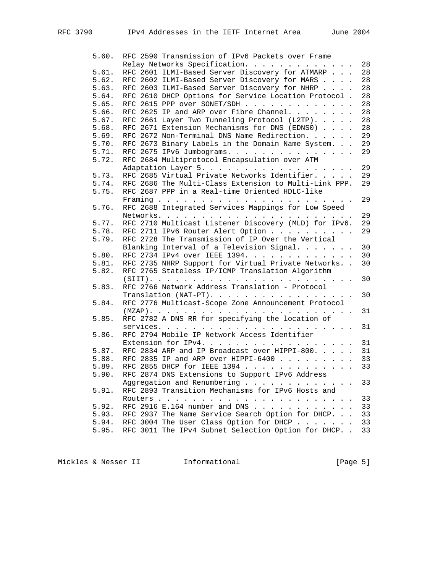| 5.60. | RFC 2590 Transmission of IPv6 Packets over Frame      |    |
|-------|-------------------------------------------------------|----|
|       | Relay Networks Specification.                         | 28 |
| 5.61. | RFC 2601 ILMI-Based Server Discovery for ATMARP       | 28 |
| 5.62. | RFC 2602 ILMI-Based Server Discovery for MARS         | 28 |
| 5.63. | RFC 2603 ILMI-Based Server Discovery for NHRP         | 28 |
| 5.64. | RFC 2610 DHCP Options for Service Location Protocol.  | 28 |
| 5.65. | RFC 2615 PPP over SONET/SDH                           | 28 |
| 5.66. | RFC 2625 IP and ARP over Fibre Channel. $\ldots$      | 28 |
| 5.67. | RFC 2661 Layer Two Tunneling Protocol (L2TP).         | 28 |
| 5.68. | RFC 2671 Extension Mechanisms for DNS (EDNS0)         | 28 |
| 5.69. | RFC 2672 Non-Terminal DNS Name Redirection.           | 29 |
| 5.70. | RFC 2673 Binary Labels in the Domain Name System.     | 29 |
| 5.71. | RFC 2675 IPv6 Jumbograms.                             | 29 |
| 5.72. | RFC 2684 Multiprotocol Encapsulation over ATM         |    |
|       | Adaptation Layer 5.                                   | 29 |
| 5.73. | RFC 2685 Virtual Private Networks Identifier.         | 29 |
| 5.74. | RFC 2686 The Multi-Class Extension to Multi-Link PPP. | 29 |
| 5.75. | RFC 2687 PPP in a Real-time Oriented HDLC-like        |    |
|       |                                                       | 29 |
| 5.76. | RFC 2688 Integrated Services Mappings for Low Speed   |    |
|       |                                                       | 29 |
| 5.77. | RFC 2710 Multicast Listener Discovery (MLD) for IPv6. | 29 |
| 5.78. | RFC 2711 IPv6 Router Alert Option                     | 29 |
| 5.79. | RFC 2728 The Transmission of IP Over the Vertical     |    |
|       | Blanking Interval of a Television Signal.             | 30 |
| 5.80. | RFC 2734 IPv4 over IEEE 1394.                         | 30 |
| 5.81. | RFC 2735 NHRP Support for Virtual Private Networks    | 30 |
| 5.82. | RFC 2765 Stateless IP/ICMP Translation Algorithm      |    |
|       |                                                       | 30 |
| 5.83. | RFC 2766 Network Address Translation - Protocol       |    |
|       | Translation (NAT-PT).                                 | 30 |
| 5.84. | RFC 2776 Multicast-Scope Zone Announcement Protocol   |    |
|       |                                                       | 31 |
| 5.85. | RFC 2782 A DNS RR for specifying the location of      |    |
|       |                                                       | 31 |
| 5.86. | RFC 2794 Mobile IP Network Access Identifier          |    |
|       | Extension for IPv4.                                   | 31 |
| 5.87. | RFC 2834 ARP and IP Broadcast over HIPPI-800.         | 31 |
| 5.88. | RFC 2835 IP and ARP over HIPPI-6400                   | 33 |
| 5.89. | RFC 2855 DHCP for IEEE 1394                           | 33 |
| 5.90. | RFC 2874 DNS Extensions to Support IPv6 Address       |    |
|       | Aggregation and Renumbering                           | 33 |
| 5.91. | RFC 2893 Transition Mechanisms for IPv6 Hosts and     |    |
|       |                                                       | 33 |
| 5.92. | RFC 2916 E.164 number and DNS                         | 33 |
| 5.93. | RFC 2937 The Name Service Search Option for DHCP.     | 33 |
| 5.94. | RFC 3004 The User Class Option for DHCP               | 33 |
| 5.95. | RFC 3011 The IPv4 Subnet Selection Option for DHCP. . | 33 |

Mickles & Nesser II 1nformational 11 and 1980 [Page 5]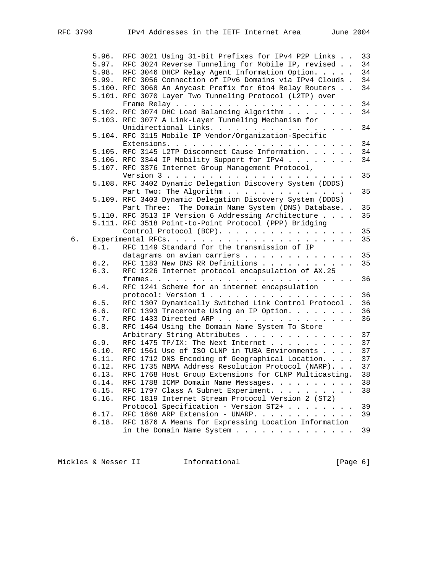|    | 5.96. | RFC 3021 Using 31-Bit Prefixes for IPv4 P2P Links          | 33 |
|----|-------|------------------------------------------------------------|----|
|    |       | 5.97. RFC 3024 Reverse Tunneling for Mobile IP, revised    | 34 |
|    |       | 5.98. RFC 3046 DHCP Relay Agent Information Option.        | 34 |
|    |       | 5.99. RFC 3056 Connection of IPv6 Domains via IPv4 Clouds. | 34 |
|    |       | 5.100. RFC 3068 An Anycast Prefix for 6to4 Relay Routers   | 34 |
|    |       | 5.101. RFC 3070 Layer Two Tunneling Protocol (L2TP) over   |    |
|    |       |                                                            | 34 |
|    |       | 5.102. RFC 3074 DHC Load Balancing Algorithm               | 34 |
|    |       | 5.103. RFC 3077 A Link-Layer Tunneling Mechanism for       |    |
|    |       | Unidirectional Links. 34                                   |    |
|    |       | 5.104. RFC 3115 Mobile IP Vendor/Organization-Specific     |    |
|    |       |                                                            | 34 |
|    |       | 5.105. RFC 3145 L2TP Disconnect Cause Information.         | 34 |
|    |       |                                                            |    |
|    |       | 5.106. RFC 3344 IP Mobility Support for IPv4               | 34 |
|    |       | 5.107. RFC 3376 Internet Group Management Protocol,        |    |
|    |       |                                                            | 35 |
|    |       | 5.108. RFC 3402 Dynamic Delegation Discovery System (DDDS) |    |
|    |       | Part Two: The Algorithm                                    | 35 |
|    |       | 5.109. RFC 3403 Dynamic Delegation Discovery System (DDDS) |    |
|    |       | Part Three: The Domain Name System (DNS) Database. .       | 35 |
|    |       | 5.110. RFC 3513 IP Version 6 Addressing Architecture       | 35 |
|    |       | 5.111. RFC 3518 Point-to-Point Protocol (PPP) Bridging     |    |
|    |       | Control Protocol (BCP).                                    | 35 |
| б. |       |                                                            | 35 |
|    | 6.1.  | RFC 1149 Standard for the transmission of IP               |    |
|    |       | datagrams on avian carriers 35                             |    |
|    | 6.2.  | RFC 1183 New DNS RR Definitions                            | 35 |
|    | 6.3.  | RFC 1226 Internet protocol encapsulation of AX.25          |    |
|    |       |                                                            | 36 |
|    | 6.4.  | RFC 1241 Scheme for an internet encapsulation              |    |
|    |       | protocol: Version 1                                        | 36 |
|    | 6.5.  | RFC 1307 Dynamically Switched Link Control Protocol . 36   |    |
|    | 6.6.  | RFC 1393 Traceroute Using an IP Option.                    | 36 |
|    | 6.7.  | RFC 1433 Directed ARP 36                                   |    |
|    | 6.8.  |                                                            |    |
|    |       | RFC 1464 Using the Domain Name System To Store             |    |
|    |       | Arbitrary String Attributes 37                             |    |
|    | 6.9.  | RFC 1475 TP/IX: The Next Internet 37                       |    |
|    | 6.10. | RFC 1561 Use of ISO CLNP in TUBA Environments 37           |    |
|    | 6.11. | RFC 1712 DNS Encoding of Geographical Location. 37         |    |
|    | 6.12. | RFC 1735 NBMA Address Resolution Protocol (NARP).          | 37 |
|    | 6.13. | RFC 1768 Host Group Extensions for CLNP Multicasting.      | 38 |
|    | 6.14. | RFC 1788 ICMP Domain Name Messages.                        | 38 |
|    | 6.15. | RFC 1797 Class A Subnet Experiment.                        | 38 |
|    | 6.16. | RFC 1819 Internet Stream Protocol Version 2 (ST2)          |    |
|    |       | Protocol Specification - Version ST2+                      | 39 |
|    | 6.17. | RFC 1868 ARP Extension - UNARP.                            | 39 |
|    | 6.18. | RFC 1876 A Means for Expressing Location Information       |    |
|    |       | in the Domain Name System                                  | 39 |
|    |       |                                                            |    |

Mickles & Nesser II 1nformational 11 and [Page 6]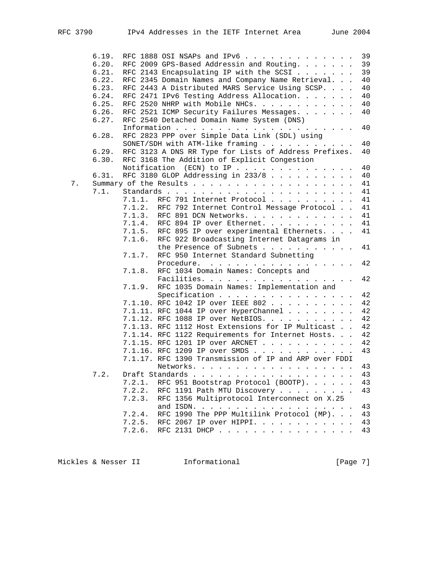|    | 6.19. | RFC 1888 OSI NSAPs and IPv6<br>39                           |
|----|-------|-------------------------------------------------------------|
|    | 6.20. | 39<br>RFC 2009 GPS-Based Addressin and Routing.             |
|    | 6.21. | 39<br>RFC 2143 Encapsulating IP with the SCSI               |
|    | 6.22. | 40<br>RFC 2345 Domain Names and Company Name Retrieval.     |
|    | 6.23. | 40<br>RFC 2443 A Distributed MARS Service Using SCSP.       |
|    | 6.24. | RFC 2471 IPv6 Testing Address Allocation.<br>40             |
|    | 6.25. | RFC 2520 NHRP with Mobile NHCs.<br>40                       |
|    | 6.26. | RFC 2521 ICMP Security Failures Messages.<br>40             |
|    | 6.27. | RFC 2540 Detached Domain Name System (DNS)                  |
|    |       | 40                                                          |
|    | 6.28. | RFC 2823 PPP over Simple Data Link (SDL) using              |
|    |       | SONET/SDH with ATM-like framing<br>40                       |
|    | 6.29. | RFC 3123 A DNS RR Type for Lists of Address Prefixes.<br>40 |
|    | 6.30. | RFC 3168 The Addition of Explicit Congestion                |
|    |       | 40<br>Notification (ECN) to IP                              |
|    | 6.31. | RFC 3180 GLOP Addressing in 233/8<br>40                     |
|    |       |                                                             |
| 7. |       | 41                                                          |
|    | 7.1.  | 41                                                          |
|    |       | 7.1.1.<br>RFC 791 Internet Protocol<br>41                   |
|    |       | 41<br>7.1.2.<br>RFC 792 Internet Control Message Protocol   |
|    |       | RFC 891 DCN Networks.<br>7.1.3.<br>41                       |
|    |       | RFC 894 IP over Ethernet.<br>7.1.4.<br>41                   |
|    |       | 7.1.5.<br>RFC 895 IP over experimental Ethernets.<br>41     |
|    |       | RFC 922 Broadcasting Internet Datagrams in<br>7.1.6.        |
|    |       | the Presence of Subnets<br>41                               |
|    |       | RFC 950 Internet Standard Subnetting<br>7.1.7.              |
|    |       | 42<br>Procedure.                                            |
|    |       | RFC 1034 Domain Names: Concepts and<br>7.1.8.               |
|    |       | 42<br>Facilities.                                           |
|    |       | RFC 1035 Domain Names: Implementation and<br>7.1.9.         |
|    |       | 42<br>Specification                                         |
|    |       | 7.1.10. RFC 1042 IP over IEEE 802<br>42                     |
|    |       | 42<br>7.1.11. RFC 1044 IP over HyperChannel                 |
|    |       | 42<br>7.1.12. RFC 1088 IP over NetBIOS.                     |
|    |       | 7.1.13. RFC 1112 Host Extensions for IP Multicast<br>42     |
|    |       | 7.1.14. RFC 1122 Requirements for Internet Hosts.<br>42     |
|    |       | 7.1.15. RFC 1201 IP over ARCNET<br>42                       |
|    |       | 7.1.16. RFC 1209 IP over SMDS<br>43                         |
|    |       | 7.1.17. RFC 1390 Transmission of IP and ARP over FDDI       |
|    |       | Networks.<br>43                                             |
|    | 7.2.  | 43                                                          |
|    |       | 7.2.1.<br>RFC 951 Bootstrap Protocol (BOOTP).<br>43         |
|    |       | 7.2.2.<br>43<br>RFC 1191 Path MTU Discovery                 |
|    |       | 7.2.3.<br>RFC 1356 Multiprotocol Interconnect on X.25       |
|    |       | and ISDN.<br>43<br>the contract of the contract of the      |
|    |       | 7.2.4.<br>RFC 1990 The PPP Multilink Protocol (MP).<br>43   |
|    |       | 7.2.5.<br>43                                                |
|    |       | RFC 2067 IP over HIPPI.                                     |
|    |       | 7.2.6.<br>RFC 2131 DHCP<br>43                               |

Mickles & Nesser II 1nformational 11 and [Page 7]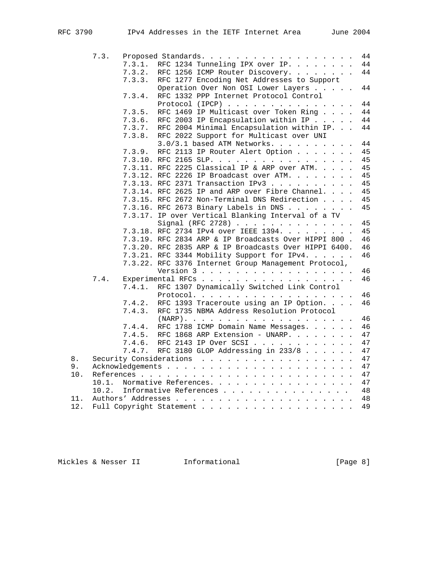|     | 7.3.  |        | Proposed Standards.<br>44                                   |
|-----|-------|--------|-------------------------------------------------------------|
|     |       | 7.3.1. | RFC 1234 Tunneling IPX over IP.<br>44                       |
|     |       | 7.3.2. | 44<br>RFC 1256 ICMP Router Discovery.                       |
|     |       | 7.3.3. | RFC 1277 Encoding Net Addresses to Support                  |
|     |       |        | 44<br>Operation Over Non OSI Lower Layers                   |
|     |       | 7.3.4. | RFC 1332 PPP Internet Protocol Control                      |
|     |       |        | 44<br>Protocol (IPCP) $\ldots$ ,                            |
|     |       | 7.3.5. | 44<br>RFC 1469 IP Multicast over Token Ring                 |
|     |       | 7.3.6. | 44<br>RFC 2003 IP Encapsulation within IP                   |
|     |       | 7.3.7. | 44<br>RFC 2004 Minimal Encapsulation within IP.             |
|     |       | 7.3.8. | RFC 2022 Support for Multicast over UNI                     |
|     |       |        | 44<br>3.0/3.1 based ATM Networks.                           |
|     |       | 7.3.9. | 45<br>RFC 2113 IP Router Alert Option                       |
|     |       |        | 7.3.10. RFC 2165 SLP.<br>45                                 |
|     |       |        | 7.3.11. RFC 2225 Classical IP & ARP over ATM.<br>45         |
|     |       |        | 7.3.12. RFC 2226 IP Broadcast over ATM.<br>45               |
|     |       |        | 45<br>7.3.13. RFC 2371 Transaction IPv3                     |
|     |       |        | 7.3.14. RFC 2625 IP and ARP over Fibre Channel.<br>45       |
|     |       |        | 7.3.15. RFC 2672 Non-Terminal DNS Redirection<br>45         |
|     |       |        | 45<br>7.3.16. RFC 2673 Binary Labels in DNS                 |
|     |       |        | 7.3.17. IP over Vertical Blanking Interval of a TV          |
|     |       |        | Signal (RFC 2728)<br>45                                     |
|     |       |        | 7.3.18. RFC 2734 IPv4 over IEEE 1394.<br>45                 |
|     |       |        | 7.3.19. RFC 2834 ARP & IP Broadcasts Over HIPPI 800.<br>46  |
|     |       |        | 7.3.20. RFC 2835 ARP & IP Broadcasts Over HIPPI 6400.<br>46 |
|     |       |        | 46<br>7.3.21. RFC 3344 Mobility Support for IPv4.           |
|     |       |        | 7.3.22. RFC 3376 Internet Group Management Protocol,        |
|     |       |        | 46<br>Version 3                                             |
|     | 7.4.  |        | 46<br>Experimental RFCs                                     |
|     |       | 7.4.1. | RFC 1307 Dynamically Switched Link Control                  |
|     |       |        | 46<br>Protocol.                                             |
|     |       | 7.4.2. | RFC 1393 Traceroute using an IP Option.<br>46               |
|     |       | 7.4.3. | RFC 1735 NBMA Address Resolution Protocol                   |
|     |       |        | 46                                                          |
|     |       | 7.4.4. | RFC 1788 ICMP Domain Name Messages.<br>46                   |
|     |       | 7.4.5. | RFC 1868 ARP Extension - UNARP.<br>47                       |
|     |       | 7.4.6. | RFC 2143 IP Over SCSI<br>47                                 |
|     |       | 7.4.7. | RFC 3180 GLOP Addressing in 233/8<br>47                     |
| 8.  |       |        | 47                                                          |
| 9.  |       |        | 47                                                          |
| 10. |       |        | 47                                                          |
|     | 10.1. |        | Normative References.<br>47                                 |
|     | 10.2. |        | Informative References<br>48                                |
| 11. |       |        | 48                                                          |
| 12. |       |        | Full Copyright Statement<br>49                              |
|     |       |        |                                                             |

Mickles & Nesser II 1nformational 11 Informational [Page 8]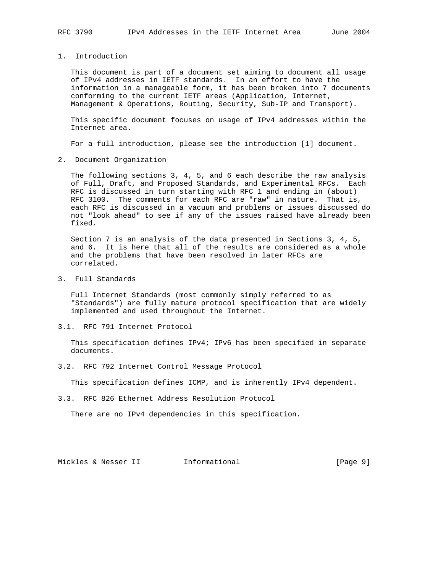1. Introduction

 This document is part of a document set aiming to document all usage of IPv4 addresses in IETF standards. In an effort to have the information in a manageable form, it has been broken into 7 documents conforming to the current IETF areas (Application, Internet, Management & Operations, Routing, Security, Sub-IP and Transport).

 This specific document focuses on usage of IPv4 addresses within the Internet area.

For a full introduction, please see the introduction [1] document.

2. Document Organization

 The following sections 3, 4, 5, and 6 each describe the raw analysis of Full, Draft, and Proposed Standards, and Experimental RFCs. Each RFC is discussed in turn starting with RFC 1 and ending in (about) RFC 3100. The comments for each RFC are "raw" in nature. That is, each RFC is discussed in a vacuum and problems or issues discussed do not "look ahead" to see if any of the issues raised have already been fixed.

 Section 7 is an analysis of the data presented in Sections 3, 4, 5, and 6. It is here that all of the results are considered as a whole and the problems that have been resolved in later RFCs are correlated.

3. Full Standards

 Full Internet Standards (most commonly simply referred to as "Standards") are fully mature protocol specification that are widely implemented and used throughout the Internet.

3.1. RFC 791 Internet Protocol

 This specification defines IPv4; IPv6 has been specified in separate documents.

3.2. RFC 792 Internet Control Message Protocol

This specification defines ICMP, and is inherently IPv4 dependent.

3.3. RFC 826 Ethernet Address Resolution Protocol

There are no IPv4 dependencies in this specification.

Mickles & Nesser II 1nformational 11 and [Page 9]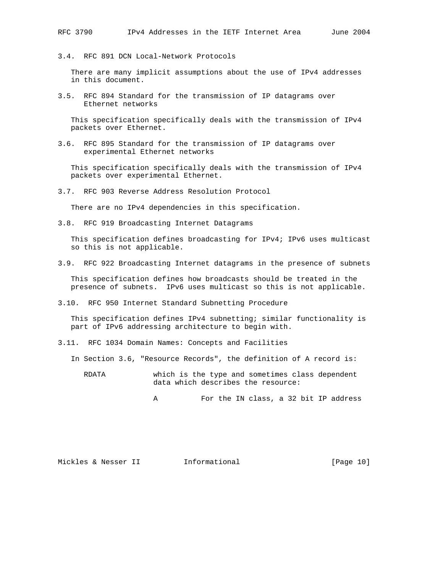3.4. RFC 891 DCN Local-Network Protocols

 There are many implicit assumptions about the use of IPv4 addresses in this document.

3.5. RFC 894 Standard for the transmission of IP datagrams over Ethernet networks

 This specification specifically deals with the transmission of IPv4 packets over Ethernet.

3.6. RFC 895 Standard for the transmission of IP datagrams over experimental Ethernet networks

 This specification specifically deals with the transmission of IPv4 packets over experimental Ethernet.

3.7. RFC 903 Reverse Address Resolution Protocol

There are no IPv4 dependencies in this specification.

3.8. RFC 919 Broadcasting Internet Datagrams

 This specification defines broadcasting for IPv4; IPv6 uses multicast so this is not applicable.

3.9. RFC 922 Broadcasting Internet datagrams in the presence of subnets

 This specification defines how broadcasts should be treated in the presence of subnets. IPv6 uses multicast so this is not applicable.

3.10. RFC 950 Internet Standard Subnetting Procedure

 This specification defines IPv4 subnetting; similar functionality is part of IPv6 addressing architecture to begin with.

3.11. RFC 1034 Domain Names: Concepts and Facilities

In Section 3.6, "Resource Records", the definition of A record is:

 RDATA which is the type and sometimes class dependent data which describes the resource:

A For the IN class, a 32 bit IP address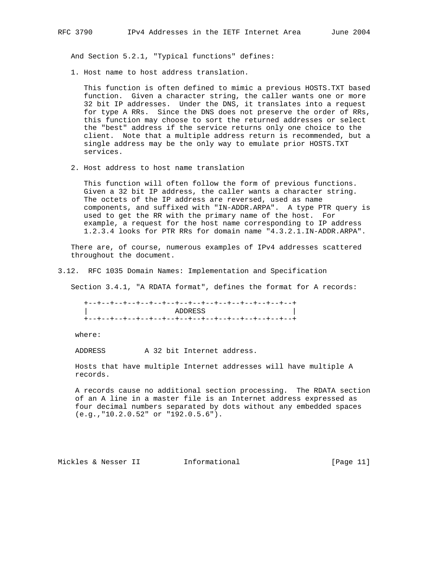And Section 5.2.1, "Typical functions" defines:

1. Host name to host address translation.

 This function is often defined to mimic a previous HOSTS.TXT based function. Given a character string, the caller wants one or more 32 bit IP addresses. Under the DNS, it translates into a request for type A RRs. Since the DNS does not preserve the order of RRs, this function may choose to sort the returned addresses or select the "best" address if the service returns only one choice to the client. Note that a multiple address return is recommended, but a single address may be the only way to emulate prior HOSTS.TXT services.

2. Host address to host name translation

 This function will often follow the form of previous functions. Given a 32 bit IP address, the caller wants a character string. The octets of the IP address are reversed, used as name components, and suffixed with "IN-ADDR.ARPA". A type PTR query is used to get the RR with the primary name of the host. For example, a request for the host name corresponding to IP address 1.2.3.4 looks for PTR RRs for domain name "4.3.2.1.IN-ADDR.ARPA".

 There are, of course, numerous examples of IPv4 addresses scattered throughout the document.

3.12. RFC 1035 Domain Names: Implementation and Specification

Section 3.4.1, "A RDATA format", defines the format for A records:

 +--+--+--+--+--+--+--+--+--+--+--+--+--+--+--+--+ ADDRESS +--+--+--+--+--+--+--+--+--+--+--+--+--+--+--+--+

where:

ADDRESS A 32 bit Internet address.

 Hosts that have multiple Internet addresses will have multiple A records.

 A records cause no additional section processing. The RDATA section of an A line in a master file is an Internet address expressed as four decimal numbers separated by dots without any embedded spaces (e.g.,"10.2.0.52" or "192.0.5.6").

Mickles & Nesser II 1nformational [Page 11]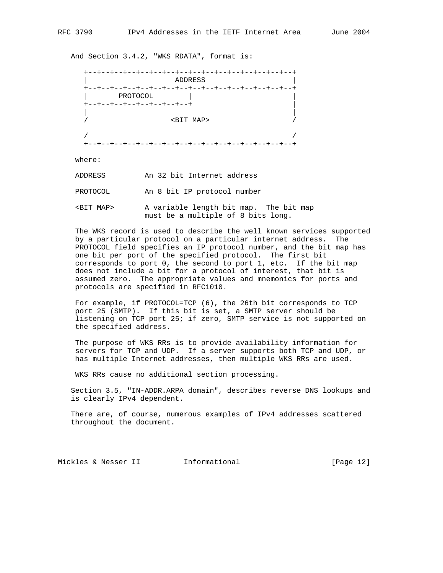And Section 3.4.2, "WKS RDATA", format is:

| PROTOCOL                  |                    |  |
|---------------------------|--------------------|--|
| +--+--+--+--+--+--+--+--+ |                    |  |
|                           |                    |  |
|                           | <bit map=""></bit> |  |

where:

ADDRESS An 32 bit Internet address

PROTOCOL An 8 bit IP protocol number

 <BIT MAP> A variable length bit map. The bit map must be a multiple of 8 bits long.

 The WKS record is used to describe the well known services supported by a particular protocol on a particular internet address. The PROTOCOL field specifies an IP protocol number, and the bit map has one bit per port of the specified protocol. The first bit corresponds to port 0, the second to port 1, etc. If the bit map does not include a bit for a protocol of interest, that bit is assumed zero. The appropriate values and mnemonics for ports and protocols are specified in RFC1010.

 For example, if PROTOCOL=TCP (6), the 26th bit corresponds to TCP port 25 (SMTP). If this bit is set, a SMTP server should be listening on TCP port 25; if zero, SMTP service is not supported on the specified address.

 The purpose of WKS RRs is to provide availability information for servers for TCP and UDP. If a server supports both TCP and UDP, or has multiple Internet addresses, then multiple WKS RRs are used.

WKS RRs cause no additional section processing.

 Section 3.5, "IN-ADDR.ARPA domain", describes reverse DNS lookups and is clearly IPv4 dependent.

 There are, of course, numerous examples of IPv4 addresses scattered throughout the document.

Mickles & Nesser II 1nformational [Page 12]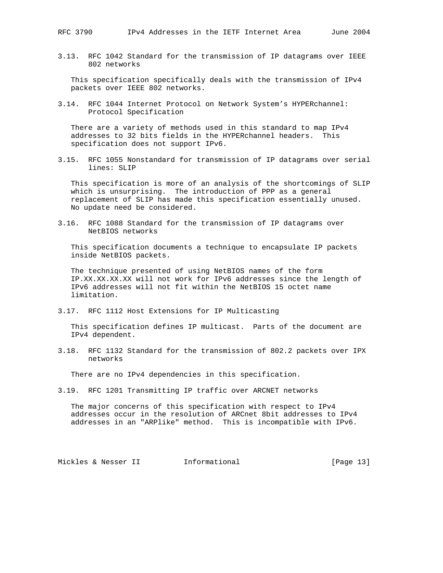3.13. RFC 1042 Standard for the transmission of IP datagrams over IEEE 802 networks

 This specification specifically deals with the transmission of IPv4 packets over IEEE 802 networks.

3.14. RFC 1044 Internet Protocol on Network System's HYPERchannel: Protocol Specification

 There are a variety of methods used in this standard to map IPv4 addresses to 32 bits fields in the HYPERchannel headers. This specification does not support IPv6.

3.15. RFC 1055 Nonstandard for transmission of IP datagrams over serial lines: SLIP

 This specification is more of an analysis of the shortcomings of SLIP which is unsurprising. The introduction of PPP as a general replacement of SLIP has made this specification essentially unused. No update need be considered.

3.16. RFC 1088 Standard for the transmission of IP datagrams over NetBIOS networks

 This specification documents a technique to encapsulate IP packets inside NetBIOS packets.

 The technique presented of using NetBIOS names of the form IP.XX.XX.XX.XX will not work for IPv6 addresses since the length of IPv6 addresses will not fit within the NetBIOS 15 octet name limitation.

3.17. RFC 1112 Host Extensions for IP Multicasting

 This specification defines IP multicast. Parts of the document are IPv4 dependent.

3.18. RFC 1132 Standard for the transmission of 802.2 packets over IPX networks

There are no IPv4 dependencies in this specification.

3.19. RFC 1201 Transmitting IP traffic over ARCNET networks

 The major concerns of this specification with respect to IPv4 addresses occur in the resolution of ARCnet 8bit addresses to IPv4 addresses in an "ARPlike" method. This is incompatible with IPv6.

Mickles & Nesser II 1nformational [Page 13]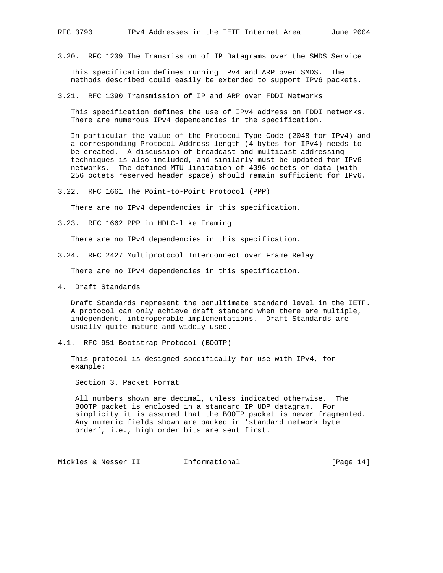3.20. RFC 1209 The Transmission of IP Datagrams over the SMDS Service

 This specification defines running IPv4 and ARP over SMDS. The methods described could easily be extended to support IPv6 packets.

3.21. RFC 1390 Transmission of IP and ARP over FDDI Networks

 This specification defines the use of IPv4 address on FDDI networks. There are numerous IPv4 dependencies in the specification.

 In particular the value of the Protocol Type Code (2048 for IPv4) and a corresponding Protocol Address length (4 bytes for IPv4) needs to be created. A discussion of broadcast and multicast addressing techniques is also included, and similarly must be updated for IPv6 networks. The defined MTU limitation of 4096 octets of data (with 256 octets reserved header space) should remain sufficient for IPv6.

3.22. RFC 1661 The Point-to-Point Protocol (PPP)

There are no IPv4 dependencies in this specification.

3.23. RFC 1662 PPP in HDLC-like Framing

There are no IPv4 dependencies in this specification.

3.24. RFC 2427 Multiprotocol Interconnect over Frame Relay

There are no IPv4 dependencies in this specification.

4. Draft Standards

 Draft Standards represent the penultimate standard level in the IETF. A protocol can only achieve draft standard when there are multiple, independent, interoperable implementations. Draft Standards are usually quite mature and widely used.

4.1. RFC 951 Bootstrap Protocol (BOOTP)

 This protocol is designed specifically for use with IPv4, for example:

Section 3. Packet Format

 All numbers shown are decimal, unless indicated otherwise. The BOOTP packet is enclosed in a standard IP UDP datagram. For simplicity it is assumed that the BOOTP packet is never fragmented. Any numeric fields shown are packed in 'standard network byte order', i.e., high order bits are sent first.

Mickles & Nesser II 1nformational [Page 14]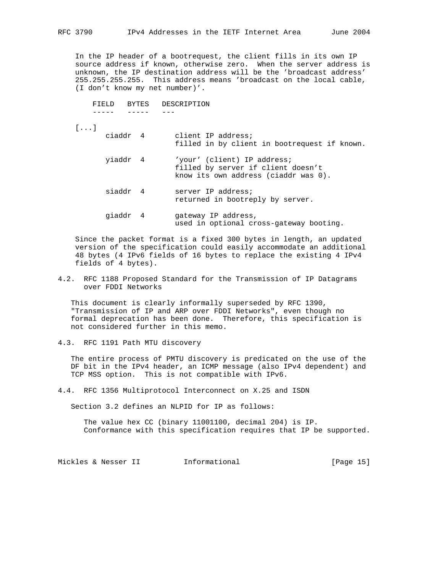In the IP header of a bootrequest, the client fills in its own IP source address if known, otherwise zero. When the server address is unknown, the IP destination address will be the 'broadcast address' 255.255.255.255. This address means 'broadcast on the local cable, (I don't know my net number)'.

 FIELD BYTES DESCRIPTION ----- ----- ---

[...]

- ciaddr 4 client IP address; filled in by client in bootrequest if known.
	- yiaddr 4 'your' (client) IP address; filled by server if client doesn't know its own address (ciaddr was 0).
	- siaddr 4 server IP address; returned in bootreply by server.
	- giaddr 4 gateway IP address, used in optional cross-gateway booting.

 Since the packet format is a fixed 300 bytes in length, an updated version of the specification could easily accommodate an additional 48 bytes (4 IPv6 fields of 16 bytes to replace the existing 4 IPv4 fields of 4 bytes).

4.2. RFC 1188 Proposed Standard for the Transmission of IP Datagrams over FDDI Networks

 This document is clearly informally superseded by RFC 1390, "Transmission of IP and ARP over FDDI Networks", even though no formal deprecation has been done. Therefore, this specification is not considered further in this memo.

4.3. RFC 1191 Path MTU discovery

 The entire process of PMTU discovery is predicated on the use of the DF bit in the IPv4 header, an ICMP message (also IPv4 dependent) and TCP MSS option. This is not compatible with IPv6.

4.4. RFC 1356 Multiprotocol Interconnect on X.25 and ISDN

Section 3.2 defines an NLPID for IP as follows:

 The value hex CC (binary 11001100, decimal 204) is IP. Conformance with this specification requires that IP be supported.

Mickles & Nesser II 1nformational [Page 15]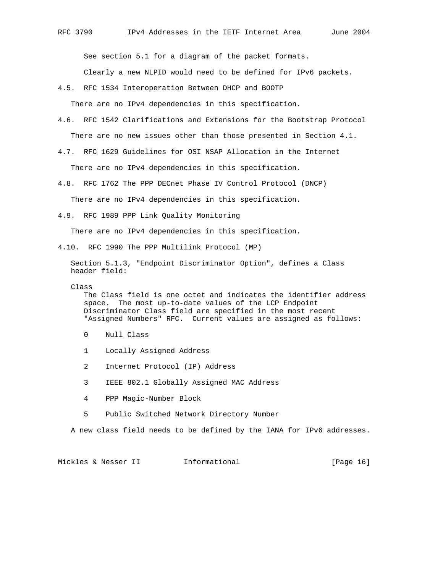See section 5.1 for a diagram of the packet formats.

Clearly a new NLPID would need to be defined for IPv6 packets.

4.5. RFC 1534 Interoperation Between DHCP and BOOTP

There are no IPv4 dependencies in this specification.

- 4.6. RFC 1542 Clarifications and Extensions for the Bootstrap Protocol There are no new issues other than those presented in Section 4.1.
- 4.7. RFC 1629 Guidelines for OSI NSAP Allocation in the Internet There are no IPv4 dependencies in this specification.
- 4.8. RFC 1762 The PPP DECnet Phase IV Control Protocol (DNCP) There are no IPv4 dependencies in this specification.
- 4.9. RFC 1989 PPP Link Quality Monitoring

There are no IPv4 dependencies in this specification.

4.10. RFC 1990 The PPP Multilink Protocol (MP)

 Section 5.1.3, "Endpoint Discriminator Option", defines a Class header field:

Class

 The Class field is one octet and indicates the identifier address space. The most up-to-date values of the LCP Endpoint Discriminator Class field are specified in the most recent "Assigned Numbers" RFC. Current values are assigned as follows:

- 0 Null Class
- 1 Locally Assigned Address
- 2 Internet Protocol (IP) Address
- 3 IEEE 802.1 Globally Assigned MAC Address
- 4 PPP Magic-Number Block
- 5 Public Switched Network Directory Number

A new class field needs to be defined by the IANA for IPv6 addresses.

Mickles & Nesser II 1nformational [Page 16]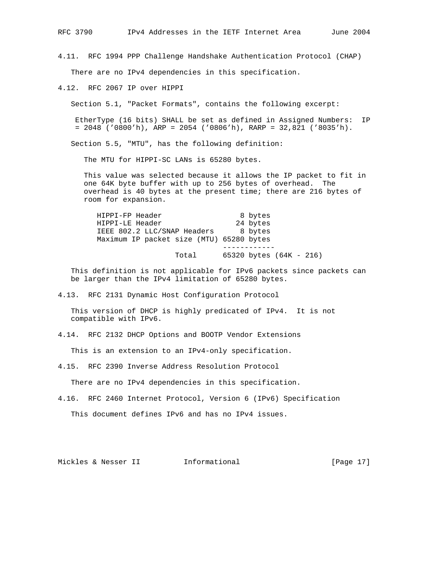4.11. RFC 1994 PPP Challenge Handshake Authentication Protocol (CHAP) There are no IPv4 dependencies in this specification.

4.12. RFC 2067 IP over HIPPI

Section 5.1, "Packet Formats", contains the following excerpt:

 EtherType (16 bits) SHALL be set as defined in Assigned Numbers: IP  $= 2048$  ('0800'h), ARP = 2054 ('0806'h), RARP = 32,821 ('8035'h).

Section 5.5, "MTU", has the following definition:

The MTU for HIPPI-SC LANs is 65280 bytes.

 This value was selected because it allows the IP packet to fit in one 64K byte buffer with up to 256 bytes of overhead. The overhead is 40 bytes at the present time; there are 216 bytes of room for expansion.

| HIPPI-FP Header                          |       | 8 bytes  |                         |  |
|------------------------------------------|-------|----------|-------------------------|--|
| HIPPI-LE Header                          |       | 24 bytes |                         |  |
| IEEE 802.2 LLC/SNAP Headers              |       | 8 bytes  |                         |  |
| Maximum IP packet size (MTU) 65280 bytes |       |          |                         |  |
|                                          |       |          |                         |  |
|                                          | Total |          | 65320 bytes (64K - 216) |  |

 This definition is not applicable for IPv6 packets since packets can be larger than the IPv4 limitation of 65280 bytes.

4.13. RFC 2131 Dynamic Host Configuration Protocol

 This version of DHCP is highly predicated of IPv4. It is not compatible with IPv6.

4.14. RFC 2132 DHCP Options and BOOTP Vendor Extensions

This is an extension to an IPv4-only specification.

4.15. RFC 2390 Inverse Address Resolution Protocol

There are no IPv4 dependencies in this specification.

4.16. RFC 2460 Internet Protocol, Version 6 (IPv6) Specification This document defines IPv6 and has no IPv4 issues.

Mickles & Nesser II 1nformational [Page 17]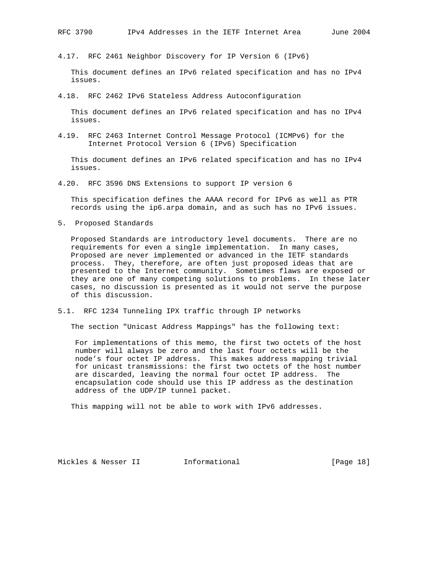4.17. RFC 2461 Neighbor Discovery for IP Version 6 (IPv6)

 This document defines an IPv6 related specification and has no IPv4 issues.

4.18. RFC 2462 IPv6 Stateless Address Autoconfiguration

 This document defines an IPv6 related specification and has no IPv4 issues.

4.19. RFC 2463 Internet Control Message Protocol (ICMPv6) for the Internet Protocol Version 6 (IPv6) Specification

 This document defines an IPv6 related specification and has no IPv4 issues.

4.20. RFC 3596 DNS Extensions to support IP version 6

 This specification defines the AAAA record for IPv6 as well as PTR records using the ip6.arpa domain, and as such has no IPv6 issues.

5. Proposed Standards

 Proposed Standards are introductory level documents. There are no requirements for even a single implementation. In many cases, Proposed are never implemented or advanced in the IETF standards process. They, therefore, are often just proposed ideas that are presented to the Internet community. Sometimes flaws are exposed or they are one of many competing solutions to problems. In these later cases, no discussion is presented as it would not serve the purpose of this discussion.

5.1. RFC 1234 Tunneling IPX traffic through IP networks

The section "Unicast Address Mappings" has the following text:

 For implementations of this memo, the first two octets of the host number will always be zero and the last four octets will be the node's four octet IP address. This makes address mapping trivial for unicast transmissions: the first two octets of the host number are discarded, leaving the normal four octet IP address. The encapsulation code should use this IP address as the destination address of the UDP/IP tunnel packet.

This mapping will not be able to work with IPv6 addresses.

Mickles & Nesser II 1nformational [Page 18]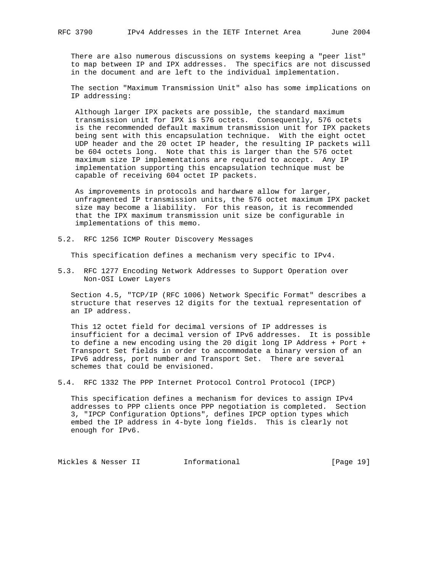There are also numerous discussions on systems keeping a "peer list" to map between IP and IPX addresses. The specifics are not discussed in the document and are left to the individual implementation.

 The section "Maximum Transmission Unit" also has some implications on IP addressing:

 Although larger IPX packets are possible, the standard maximum transmission unit for IPX is 576 octets. Consequently, 576 octets is the recommended default maximum transmission unit for IPX packets being sent with this encapsulation technique. With the eight octet UDP header and the 20 octet IP header, the resulting IP packets will be 604 octets long. Note that this is larger than the 576 octet maximum size IP implementations are required to accept. Any IP implementation supporting this encapsulation technique must be capable of receiving 604 octet IP packets.

 As improvements in protocols and hardware allow for larger, unfragmented IP transmission units, the 576 octet maximum IPX packet size may become a liability. For this reason, it is recommended that the IPX maximum transmission unit size be configurable in implementations of this memo.

5.2. RFC 1256 ICMP Router Discovery Messages

This specification defines a mechanism very specific to IPv4.

5.3. RFC 1277 Encoding Network Addresses to Support Operation over Non-OSI Lower Layers

 Section 4.5, "TCP/IP (RFC 1006) Network Specific Format" describes a structure that reserves 12 digits for the textual representation of an IP address.

 This 12 octet field for decimal versions of IP addresses is insufficient for a decimal version of IPv6 addresses. It is possible to define a new encoding using the 20 digit long IP Address + Port + Transport Set fields in order to accommodate a binary version of an IPv6 address, port number and Transport Set. There are several schemes that could be envisioned.

5.4. RFC 1332 The PPP Internet Protocol Control Protocol (IPCP)

 This specification defines a mechanism for devices to assign IPv4 addresses to PPP clients once PPP negotiation is completed. Section 3, "IPCP Configuration Options", defines IPCP option types which embed the IP address in 4-byte long fields. This is clearly not enough for IPv6.

Mickles & Nesser II 1nformational [Page 19]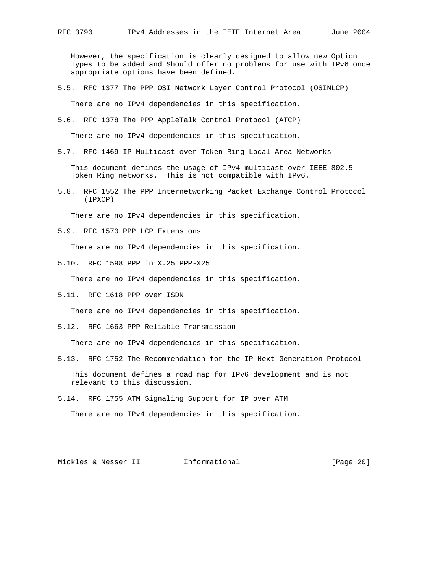However, the specification is clearly designed to allow new Option Types to be added and Should offer no problems for use with IPv6 once appropriate options have been defined.

5.5. RFC 1377 The PPP OSI Network Layer Control Protocol (OSINLCP)

There are no IPv4 dependencies in this specification.

5.6. RFC 1378 The PPP AppleTalk Control Protocol (ATCP)

There are no IPv4 dependencies in this specification.

5.7. RFC 1469 IP Multicast over Token-Ring Local Area Networks

 This document defines the usage of IPv4 multicast over IEEE 802.5 Token Ring networks. This is not compatible with IPv6.

5.8. RFC 1552 The PPP Internetworking Packet Exchange Control Protocol (IPXCP)

There are no IPv4 dependencies in this specification.

5.9. RFC 1570 PPP LCP Extensions

There are no IPv4 dependencies in this specification.

5.10. RFC 1598 PPP in X.25 PPP-X25

There are no IPv4 dependencies in this specification.

5.11. RFC 1618 PPP over ISDN

There are no IPv4 dependencies in this specification.

5.12. RFC 1663 PPP Reliable Transmission

There are no IPv4 dependencies in this specification.

5.13. RFC 1752 The Recommendation for the IP Next Generation Protocol

 This document defines a road map for IPv6 development and is not relevant to this discussion.

5.14. RFC 1755 ATM Signaling Support for IP over ATM

There are no IPv4 dependencies in this specification.

Mickles & Nesser II 1nformational [Page 20]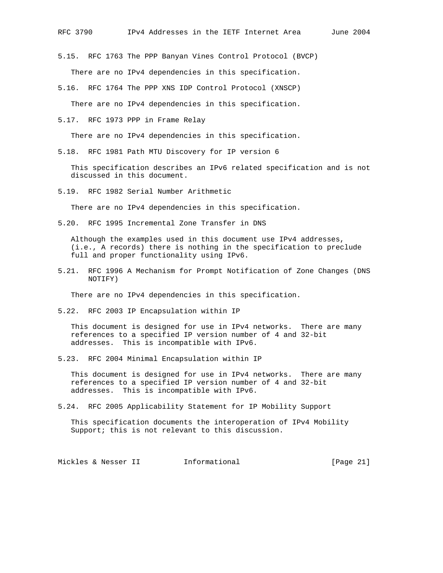5.15. RFC 1763 The PPP Banyan Vines Control Protocol (BVCP) There are no IPv4 dependencies in this specification.

- 5.16. RFC 1764 The PPP XNS IDP Control Protocol (XNSCP) There are no IPv4 dependencies in this specification.
- 5.17. RFC 1973 PPP in Frame Relay

There are no IPv4 dependencies in this specification.

5.18. RFC 1981 Path MTU Discovery for IP version 6

 This specification describes an IPv6 related specification and is not discussed in this document.

5.19. RFC 1982 Serial Number Arithmetic

There are no IPv4 dependencies in this specification.

5.20. RFC 1995 Incremental Zone Transfer in DNS

 Although the examples used in this document use IPv4 addresses, (i.e., A records) there is nothing in the specification to preclude full and proper functionality using IPv6.

5.21. RFC 1996 A Mechanism for Prompt Notification of Zone Changes (DNS NOTIFY)

There are no IPv4 dependencies in this specification.

5.22. RFC 2003 IP Encapsulation within IP

 This document is designed for use in IPv4 networks. There are many references to a specified IP version number of 4 and 32-bit addresses. This is incompatible with IPv6.

5.23. RFC 2004 Minimal Encapsulation within IP

 This document is designed for use in IPv4 networks. There are many references to a specified IP version number of 4 and 32-bit addresses. This is incompatible with IPv6.

5.24. RFC 2005 Applicability Statement for IP Mobility Support

 This specification documents the interoperation of IPv4 Mobility Support; this is not relevant to this discussion.

Mickles & Nesser II informational informational [Page 21]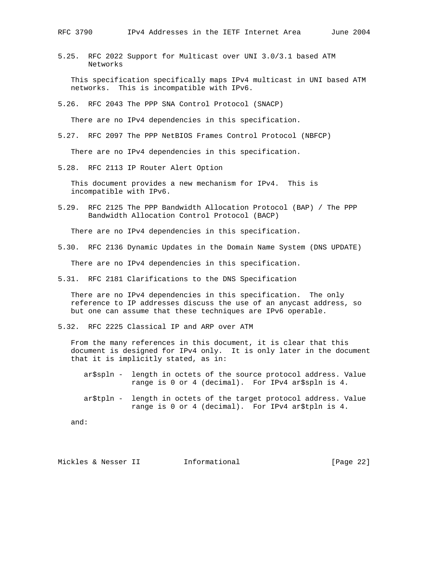5.25. RFC 2022 Support for Multicast over UNI 3.0/3.1 based ATM Networks

 This specification specifically maps IPv4 multicast in UNI based ATM networks. This is incompatible with IPv6.

5.26. RFC 2043 The PPP SNA Control Protocol (SNACP)

There are no IPv4 dependencies in this specification.

5.27. RFC 2097 The PPP NetBIOS Frames Control Protocol (NBFCP)

There are no IPv4 dependencies in this specification.

5.28. RFC 2113 IP Router Alert Option

 This document provides a new mechanism for IPv4. This is incompatible with IPv6.

5.29. RFC 2125 The PPP Bandwidth Allocation Protocol (BAP) / The PPP Bandwidth Allocation Control Protocol (BACP)

There are no IPv4 dependencies in this specification.

5.30. RFC 2136 Dynamic Updates in the Domain Name System (DNS UPDATE)

There are no IPv4 dependencies in this specification.

5.31. RFC 2181 Clarifications to the DNS Specification

 There are no IPv4 dependencies in this specification. The only reference to IP addresses discuss the use of an anycast address, so but one can assume that these techniques are IPv6 operable.

5.32. RFC 2225 Classical IP and ARP over ATM

 From the many references in this document, it is clear that this document is designed for IPv4 only. It is only later in the document that it is implicitly stated, as in:

- ar\$spln length in octets of the source protocol address. Value range is 0 or 4 (decimal). For IPv4 ar\$spln is 4.
- ar\$tpln length in octets of the target protocol address. Value range is 0 or 4 (decimal). For IPv4 ar\$tpln is 4.

and:

Mickles & Nesser II 1nformational 11 and 1982 [Page 22]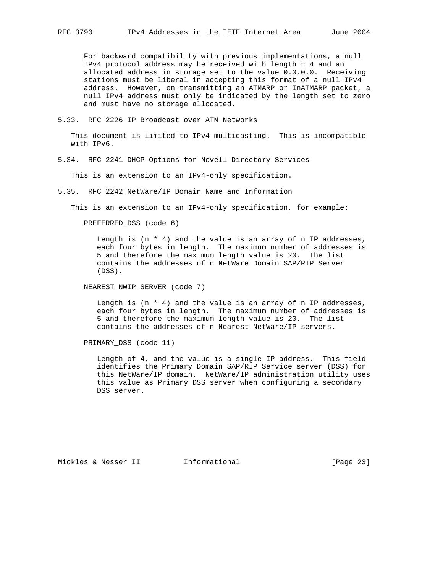For backward compatibility with previous implementations, a null IPv4 protocol address may be received with length = 4 and an allocated address in storage set to the value 0.0.0.0. Receiving stations must be liberal in accepting this format of a null IPv4 address. However, on transmitting an ATMARP or InATMARP packet, a null IPv4 address must only be indicated by the length set to zero and must have no storage allocated.

5.33. RFC 2226 IP Broadcast over ATM Networks

 This document is limited to IPv4 multicasting. This is incompatible with IPv6.

5.34. RFC 2241 DHCP Options for Novell Directory Services

This is an extension to an IPv4-only specification.

5.35. RFC 2242 NetWare/IP Domain Name and Information

This is an extension to an IPv4-only specification, for example:

PREFERRED\_DSS (code 6)

Length is  $(n * 4)$  and the value is an array of n IP addresses, each four bytes in length. The maximum number of addresses is 5 and therefore the maximum length value is 20. The list contains the addresses of n NetWare Domain SAP/RIP Server (DSS).

NEAREST\_NWIP\_SERVER (code 7)

Length is  $(n * 4)$  and the value is an array of n IP addresses, each four bytes in length. The maximum number of addresses is 5 and therefore the maximum length value is 20. The list contains the addresses of n Nearest NetWare/IP servers.

PRIMARY\_DSS (code 11)

 Length of 4, and the value is a single IP address. This field identifies the Primary Domain SAP/RIP Service server (DSS) for this NetWare/IP domain. NetWare/IP administration utility uses this value as Primary DSS server when configuring a secondary DSS server.

Mickles & Nesser II 1nformational [Page 23]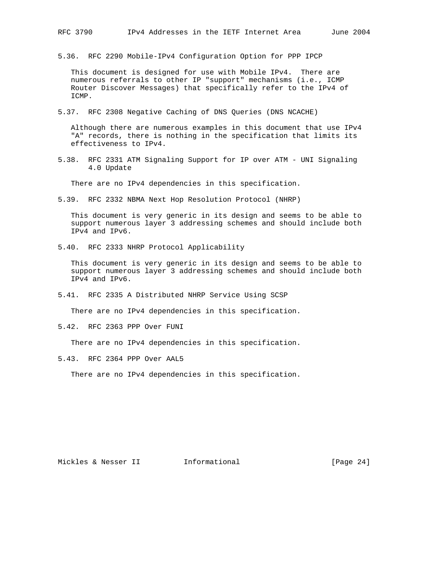5.36. RFC 2290 Mobile-IPv4 Configuration Option for PPP IPCP

 This document is designed for use with Mobile IPv4. There are numerous referrals to other IP "support" mechanisms (i.e., ICMP Router Discover Messages) that specifically refer to the IPv4 of ICMP.

5.37. RFC 2308 Negative Caching of DNS Queries (DNS NCACHE)

 Although there are numerous examples in this document that use IPv4 "A" records, there is nothing in the specification that limits its effectiveness to IPv4.

5.38. RFC 2331 ATM Signaling Support for IP over ATM - UNI Signaling 4.0 Update

There are no IPv4 dependencies in this specification.

5.39. RFC 2332 NBMA Next Hop Resolution Protocol (NHRP)

 This document is very generic in its design and seems to be able to support numerous layer 3 addressing schemes and should include both IPv4 and IPv6.

5.40. RFC 2333 NHRP Protocol Applicability

 This document is very generic in its design and seems to be able to support numerous layer 3 addressing schemes and should include both IPv4 and IPv6.

5.41. RFC 2335 A Distributed NHRP Service Using SCSP

There are no IPv4 dependencies in this specification.

5.42. RFC 2363 PPP Over FUNI

There are no IPv4 dependencies in this specification.

5.43. RFC 2364 PPP Over AAL5

There are no IPv4 dependencies in this specification.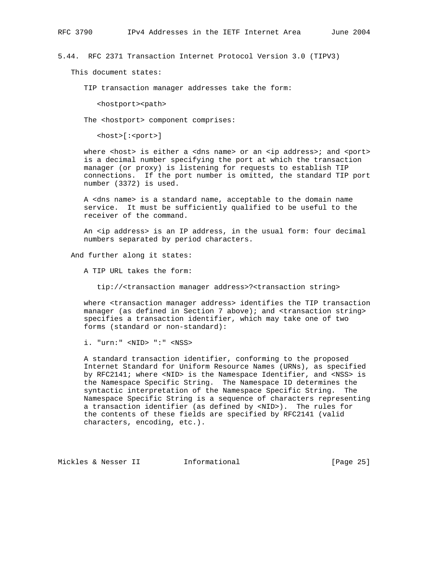5.44. RFC 2371 Transaction Internet Protocol Version 3.0 (TIPV3)

This document states:

TIP transaction manager addresses take the form:

<hostport><path>

The <hostport> component comprises:

<host>[:<port>]

where <host> is either a <dns name> or an <ip address>; and <port> is a decimal number specifying the port at which the transaction manager (or proxy) is listening for requests to establish TIP connections. If the port number is omitted, the standard TIP port number (3372) is used.

 A <dns name> is a standard name, acceptable to the domain name service. It must be sufficiently qualified to be useful to the receiver of the command.

 An <ip address> is an IP address, in the usual form: four decimal numbers separated by period characters.

And further along it states:

A TIP URL takes the form:

tip://<transaction manager address>?<transaction string>

 where <transaction manager address> identifies the TIP transaction manager (as defined in Section 7 above); and <transaction string> specifies a transaction identifier, which may take one of two forms (standard or non-standard):

i. "urn:" <NID> ":" <NSS>

 A standard transaction identifier, conforming to the proposed Internet Standard for Uniform Resource Names (URNs), as specified by RFC2141; where <NID> is the Namespace Identifier, and <NSS> is the Namespace Specific String. The Namespace ID determines the syntactic interpretation of the Namespace Specific String. The Namespace Specific String is a sequence of characters representing a transaction identifier (as defined by <NID>). The rules for the contents of these fields are specified by RFC2141 (valid characters, encoding, etc.).

Mickles & Nesser II 1nformational [Page 25]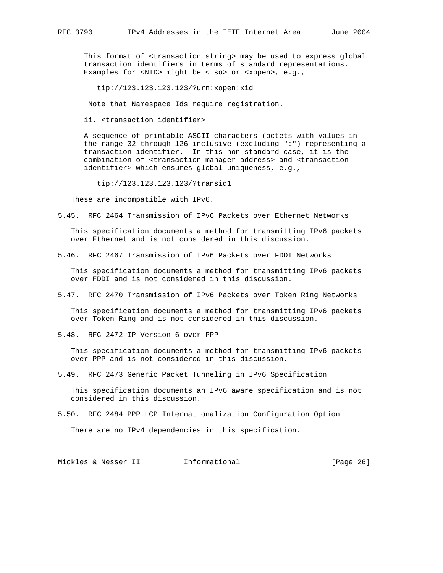This format of <transaction string> may be used to express global transaction identifiers in terms of standard representations. Examples for <NID> might be <iso> or <xopen>, e.g.,

tip://123.123.123.123/?urn:xopen:xid

Note that Namespace Ids require registration.

ii. <transaction identifier>

 A sequence of printable ASCII characters (octets with values in the range 32 through 126 inclusive (excluding ":") representing a transaction identifier. In this non-standard case, it is the combination of <transaction manager address> and <transaction identifier> which ensures global uniqueness, e.g.,

tip://123.123.123.123/?transid1

These are incompatible with IPv6.

5.45. RFC 2464 Transmission of IPv6 Packets over Ethernet Networks

 This specification documents a method for transmitting IPv6 packets over Ethernet and is not considered in this discussion.

5.46. RFC 2467 Transmission of IPv6 Packets over FDDI Networks

 This specification documents a method for transmitting IPv6 packets over FDDI and is not considered in this discussion.

5.47. RFC 2470 Transmission of IPv6 Packets over Token Ring Networks

 This specification documents a method for transmitting IPv6 packets over Token Ring and is not considered in this discussion.

5.48. RFC 2472 IP Version 6 over PPP

 This specification documents a method for transmitting IPv6 packets over PPP and is not considered in this discussion.

5.49. RFC 2473 Generic Packet Tunneling in IPv6 Specification

 This specification documents an IPv6 aware specification and is not considered in this discussion.

5.50. RFC 2484 PPP LCP Internationalization Configuration Option

There are no IPv4 dependencies in this specification.

Mickles & Nesser II 1nformational 11 and 1980 [Page 26]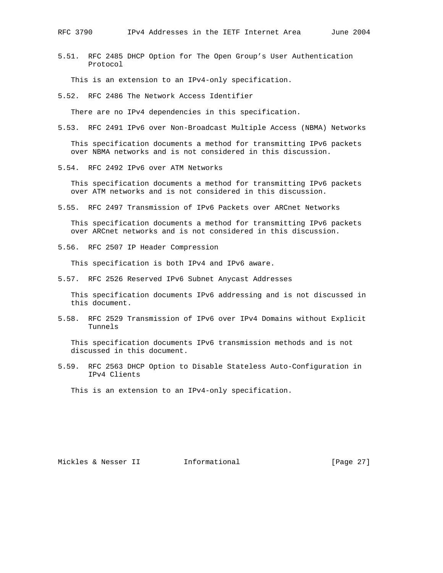5.51. RFC 2485 DHCP Option for The Open Group's User Authentication Protocol

This is an extension to an IPv4-only specification.

5.52. RFC 2486 The Network Access Identifier

There are no IPv4 dependencies in this specification.

5.53. RFC 2491 IPv6 over Non-Broadcast Multiple Access (NBMA) Networks

 This specification documents a method for transmitting IPv6 packets over NBMA networks and is not considered in this discussion.

5.54. RFC 2492 IPv6 over ATM Networks

 This specification documents a method for transmitting IPv6 packets over ATM networks and is not considered in this discussion.

5.55. RFC 2497 Transmission of IPv6 Packets over ARCnet Networks

 This specification documents a method for transmitting IPv6 packets over ARCnet networks and is not considered in this discussion.

5.56. RFC 2507 IP Header Compression

This specification is both IPv4 and IPv6 aware.

5.57. RFC 2526 Reserved IPv6 Subnet Anycast Addresses

 This specification documents IPv6 addressing and is not discussed in this document.

5.58. RFC 2529 Transmission of IPv6 over IPv4 Domains without Explicit Tunnels

 This specification documents IPv6 transmission methods and is not discussed in this document.

5.59. RFC 2563 DHCP Option to Disable Stateless Auto-Configuration in IPv4 Clients

This is an extension to an IPv4-only specification.

Mickles & Nesser II 1nformational 11 and 1982 [Page 27]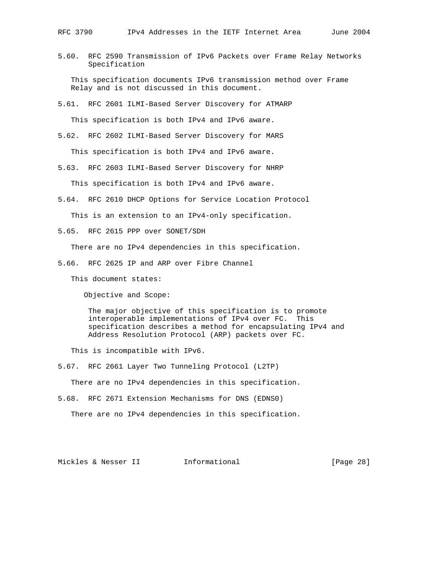5.60. RFC 2590 Transmission of IPv6 Packets over Frame Relay Networks Specification

 This specification documents IPv6 transmission method over Frame Relay and is not discussed in this document.

- 5.61. RFC 2601 ILMI-Based Server Discovery for ATMARP This specification is both IPv4 and IPv6 aware.
- 5.62. RFC 2602 ILMI-Based Server Discovery for MARS

This specification is both IPv4 and IPv6 aware.

5.63. RFC 2603 ILMI-Based Server Discovery for NHRP

This specification is both IPv4 and IPv6 aware.

5.64. RFC 2610 DHCP Options for Service Location Protocol

This is an extension to an IPv4-only specification.

5.65. RFC 2615 PPP over SONET/SDH

There are no IPv4 dependencies in this specification.

5.66. RFC 2625 IP and ARP over Fibre Channel

This document states:

Objective and Scope:

 The major objective of this specification is to promote interoperable implementations of IPv4 over FC. This specification describes a method for encapsulating IPv4 and Address Resolution Protocol (ARP) packets over FC.

This is incompatible with IPv6.

5.67. RFC 2661 Layer Two Tunneling Protocol (L2TP)

There are no IPv4 dependencies in this specification.

5.68. RFC 2671 Extension Mechanisms for DNS (EDNS0)

There are no IPv4 dependencies in this specification.

Mickles & Nesser II 1nformational 11 and 1989 [Page 28]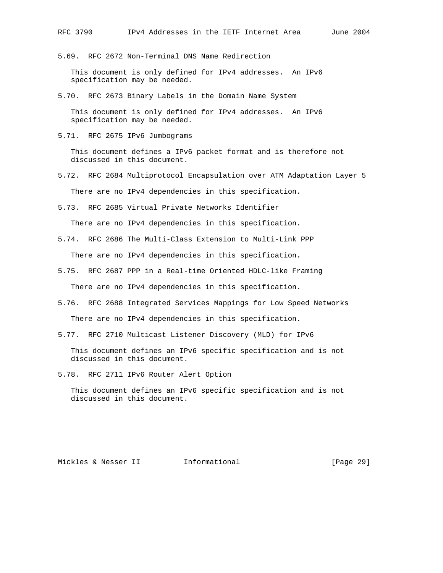5.69. RFC 2672 Non-Terminal DNS Name Redirection

 This document is only defined for IPv4 addresses. An IPv6 specification may be needed.

5.70. RFC 2673 Binary Labels in the Domain Name System

 This document is only defined for IPv4 addresses. An IPv6 specification may be needed.

5.71. RFC 2675 IPv6 Jumbograms

 This document defines a IPv6 packet format and is therefore not discussed in this document.

- 5.72. RFC 2684 Multiprotocol Encapsulation over ATM Adaptation Layer 5 There are no IPv4 dependencies in this specification.
- 5.73. RFC 2685 Virtual Private Networks Identifier

There are no IPv4 dependencies in this specification.

5.74. RFC 2686 The Multi-Class Extension to Multi-Link PPP

There are no IPv4 dependencies in this specification.

5.75. RFC 2687 PPP in a Real-time Oriented HDLC-like Framing

There are no IPv4 dependencies in this specification.

- 5.76. RFC 2688 Integrated Services Mappings for Low Speed Networks There are no IPv4 dependencies in this specification.
- 5.77. RFC 2710 Multicast Listener Discovery (MLD) for IPv6

 This document defines an IPv6 specific specification and is not discussed in this document.

5.78. RFC 2711 IPv6 Router Alert Option

 This document defines an IPv6 specific specification and is not discussed in this document.

Mickles & Nesser II 1nformational [Page 29]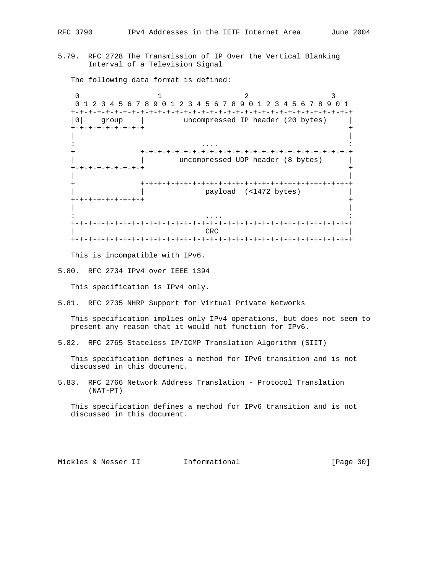5.79. RFC 2728 The Transmission of IP Over the Vertical Blanking Interval of a Television Signal

The following data format is defined:

0  $1$   $2$   $3$  0 1 2 3 4 5 6 7 8 9 0 1 2 3 4 5 6 7 8 9 0 1 2 3 4 5 6 7 8 9 0 1 +-+-+-+-+-+-+-+-+-+-+-+-+-+-+-+-+-+-+-+-+-+-+-+-+-+-+-+-+-+-+-+-+ |0| group | uncompressed IP header (20 bytes) | +-+-+-+-+-+-+-+-+ + | | : .... : + +-+-+-+-+-+-+-+-+-+-+-+-+-+-+-+-+-+-+-+-+-+-+-+-+ | | uncompressed UDP header (8 bytes) | +-+-+-+-+-+-+-+-+ + | | + +-+-+-+-+-+-+-+-+-+-+-+-+-+-+-+-+-+-+-+-+-+-+-+-+ | | payload (<1472 bytes) | +-+-+-+-+-+-+-+-+ + | | : .... : +-+-+-+-+-+-+-+-+-+-+-+-+-+-+-+-+-+-+-+-+-+-+-+-+-+-+-+-+-+-+-+-+  $CRC$ +-+-+-+-+-+-+-+-+-+-+-+-+-+-+-+-+-+-+-+-+-+-+-+-+-+-+-+-+-+-+-+-+

This is incompatible with IPv6.

5.80. RFC 2734 IPv4 over IEEE 1394

This specification is IPv4 only.

5.81. RFC 2735 NHRP Support for Virtual Private Networks

 This specification implies only IPv4 operations, but does not seem to present any reason that it would not function for IPv6.

5.82. RFC 2765 Stateless IP/ICMP Translation Algorithm (SIIT)

 This specification defines a method for IPv6 transition and is not discussed in this document.

5.83. RFC 2766 Network Address Translation - Protocol Translation (NAT-PT)

 This specification defines a method for IPv6 transition and is not discussed in this document.

Mickles & Nesser II 1nformational [Page 30]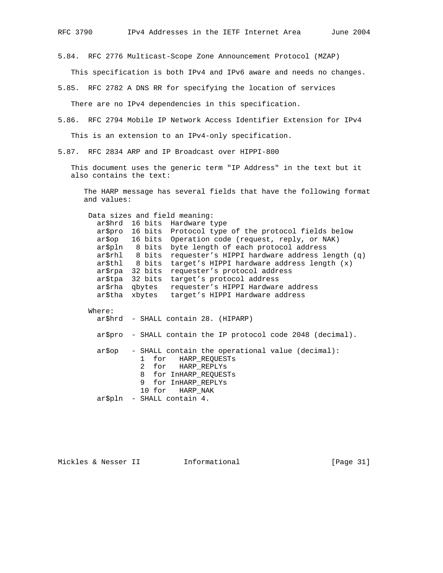5.84. RFC 2776 Multicast-Scope Zone Announcement Protocol (MZAP)

This specification is both IPv4 and IPv6 aware and needs no changes.

5.85. RFC 2782 A DNS RR for specifying the location of services

There are no IPv4 dependencies in this specification.

5.86. RFC 2794 Mobile IP Network Access Identifier Extension for IPv4

This is an extension to an IPv4-only specification.

5.87. RFC 2834 ARP and IP Broadcast over HIPPI-800

 This document uses the generic term "IP Address" in the text but it also contains the text:

 The HARP message has several fields that have the following format and values:

Data sizes and field meaning:

|         |                 | ar\$hrd 16 bits Hardware type                              |
|---------|-----------------|------------------------------------------------------------|
|         |                 | ar\$pro 16 bits Protocol type of the protocol fields below |
| ar\$op  |                 | 16 bits Operation code (request, reply, or NAK)            |
| ar\$pln |                 | 8 bits byte length of each protocol address                |
| ar\$rhl |                 | 8 bits requester's HIPPI hardware address length (q)       |
| ar\$thl |                 | 8 bits target's HIPPI hardware address length (x)          |
|         | ar\$rpa 32 bits | requester's protocol address                               |
| ar\$tpa | 32 bits         | target's protocol address                                  |
| ar\$rha | gbytes          | requester's HIPPI Hardware address                         |
| ar\$tha | xbytes          | target's HIPPI Hardware address                            |
|         |                 |                                                            |

 Where: ar\$hrd - SHALL contain 28. (HIPARP) ar\$pro - SHALL contain the IP protocol code 2048 (decimal). ar\$op - SHALL contain the operational value (decimal): 1 for HARP\_REQUESTs 2 for HARP\_REPLYs

 8 for InHARP\_REQUESTs 9 for InHARP\_REPLYs 10 for HARP\_NAK ar\$pln - SHALL contain 4.

Mickles & Nesser II 1nformational [Page 31]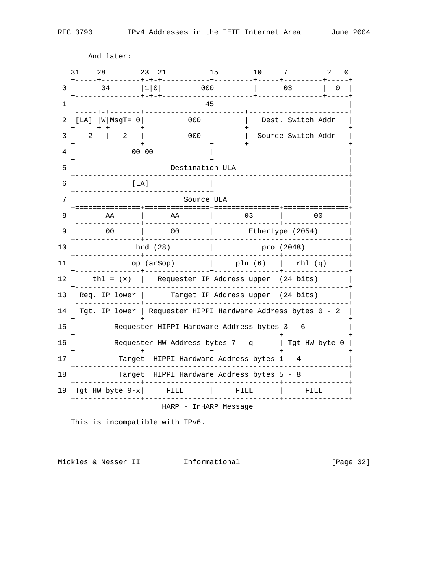And later:

 $31 \qquad 28 \qquad \qquad 23 \quad 21 \qquad \qquad 15 \qquad \qquad 10 \qquad \qquad 7 \qquad \qquad 2 \quad \qquad 0$  $0 | 04 | 1 | 0 | 000 | 03 | 0 |$  $1 \mid$ 45 3 | 2 | 2 | 000 | Source Switch Addr | 00 00  $4$  |  $\Box$ -------------------------------+  $5 \mid$ Destination ULA  $6 \mid$  $[LA]$ +-------------------------------+  $7<sup>1</sup>$ Source ULA 8 | AA | AA | 03 | 00 | 9 | 00 | 00 | Ethertype (2054) | 10 | hrd (28) | pro (2048) -------+-------------<u>\_\_\_\_\_\_\_\_\_\_\_\_\_\_\_\_\_\_</u>\_\_\_\_ 11 |  $op (ar5op)$  |  $pln (6)$  |  $rhl (q)$  | 12 |  $\text{th1} = (x)$  | Requester IP Address upper (24 bits) 13 | Req. IP lower | Target IP Address upper (24 bits) 14 | Tgt. IP lower | Requester HIPPI Hardware Address bytes 0 - 2 |  $15$ Requester HIPPI Hardware Address bytes 3 - 6 16 | Requester HW Address bytes  $7 - q$  | Tgt HW byte 0 |  $17$ Target HIPPI Hardware Address bytes 1 - 4 18 | Target HIPPI Hardware Address bytes 5 - 8 19 | Tgt HW byte  $9-x$  | FILL | FILL  $\begin{array}{|c|c|} \hline \quad & \quad \text{FILL} \end{array}$ HARP - InHARP Message

This is incompatible with IPv6.

Mickles & Nesser II 1nformational

[Page 32]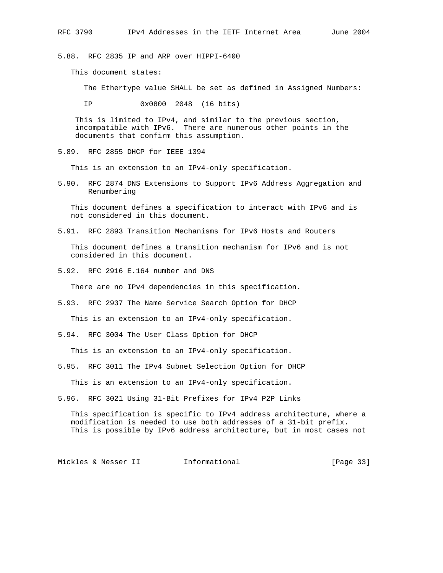5.88. RFC 2835 IP and ARP over HIPPI-6400

This document states:

The Ethertype value SHALL be set as defined in Assigned Numbers:

IP 0x0800 2048 (16 bits)

 This is limited to IPv4, and similar to the previous section, incompatible with IPv6. There are numerous other points in the documents that confirm this assumption.

5.89. RFC 2855 DHCP for IEEE 1394

This is an extension to an IPv4-only specification.

5.90. RFC 2874 DNS Extensions to Support IPv6 Address Aggregation and Renumbering

 This document defines a specification to interact with IPv6 and is not considered in this document.

5.91. RFC 2893 Transition Mechanisms for IPv6 Hosts and Routers

 This document defines a transition mechanism for IPv6 and is not considered in this document.

5.92. RFC 2916 E.164 number and DNS

There are no IPv4 dependencies in this specification.

5.93. RFC 2937 The Name Service Search Option for DHCP

This is an extension to an IPv4-only specification.

5.94. RFC 3004 The User Class Option for DHCP

This is an extension to an IPv4-only specification.

5.95. RFC 3011 The IPv4 Subnet Selection Option for DHCP

This is an extension to an IPv4-only specification.

5.96. RFC 3021 Using 31-Bit Prefixes for IPv4 P2P Links

 This specification is specific to IPv4 address architecture, where a modification is needed to use both addresses of a 31-bit prefix. This is possible by IPv6 address architecture, but in most cases not

Mickles & Nesser II 1nformational [Page 33]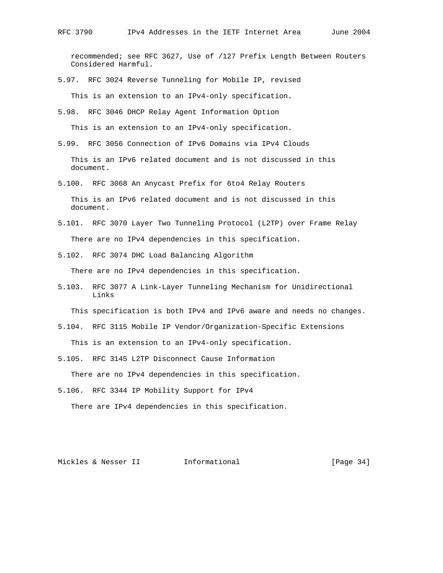recommended; see RFC 3627, Use of /127 Prefix Length Between Routers Considered Harmful.

5.97. RFC 3024 Reverse Tunneling for Mobile IP, revised

This is an extension to an IPv4-only specification.

5.98. RFC 3046 DHCP Relay Agent Information Option

This is an extension to an IPv4-only specification.

5.99. RFC 3056 Connection of IPv6 Domains via IPv4 Clouds

 This is an IPv6 related document and is not discussed in this document.

5.100. RFC 3068 An Anycast Prefix for 6to4 Relay Routers

 This is an IPv6 related document and is not discussed in this document.

- 5.101. RFC 3070 Layer Two Tunneling Protocol (L2TP) over Frame Relay There are no IPv4 dependencies in this specification.
- 5.102. RFC 3074 DHC Load Balancing Algorithm

There are no IPv4 dependencies in this specification.

5.103. RFC 3077 A Link-Layer Tunneling Mechanism for Unidirectional Links

This specification is both IPv4 and IPv6 aware and needs no changes.

5.104. RFC 3115 Mobile IP Vendor/Organization-Specific Extensions

This is an extension to an IPv4-only specification.

5.105. RFC 3145 L2TP Disconnect Cause Information

There are no IPv4 dependencies in this specification.

5.106. RFC 3344 IP Mobility Support for IPv4

There are IPv4 dependencies in this specification.

Mickles & Nesser II 1nformational [Page 34]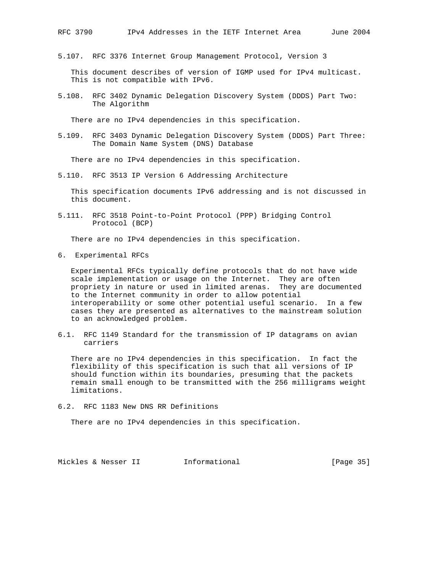5.107. RFC 3376 Internet Group Management Protocol, Version 3

 This document describes of version of IGMP used for IPv4 multicast. This is not compatible with IPv6.

5.108. RFC 3402 Dynamic Delegation Discovery System (DDDS) Part Two: The Algorithm

There are no IPv4 dependencies in this specification.

5.109. RFC 3403 Dynamic Delegation Discovery System (DDDS) Part Three: The Domain Name System (DNS) Database

There are no IPv4 dependencies in this specification.

5.110. RFC 3513 IP Version 6 Addressing Architecture

 This specification documents IPv6 addressing and is not discussed in this document.

5.111. RFC 3518 Point-to-Point Protocol (PPP) Bridging Control Protocol (BCP)

There are no IPv4 dependencies in this specification.

6. Experimental RFCs

 Experimental RFCs typically define protocols that do not have wide scale implementation or usage on the Internet. They are often propriety in nature or used in limited arenas. They are documented to the Internet community in order to allow potential interoperability or some other potential useful scenario. In a few cases they are presented as alternatives to the mainstream solution to an acknowledged problem.

6.1. RFC 1149 Standard for the transmission of IP datagrams on avian carriers

 There are no IPv4 dependencies in this specification. In fact the flexibility of this specification is such that all versions of IP should function within its boundaries, presuming that the packets remain small enough to be transmitted with the 256 milligrams weight limitations.

6.2. RFC 1183 New DNS RR Definitions

There are no IPv4 dependencies in this specification.

Mickles & Nesser II 1nformational [Page 35]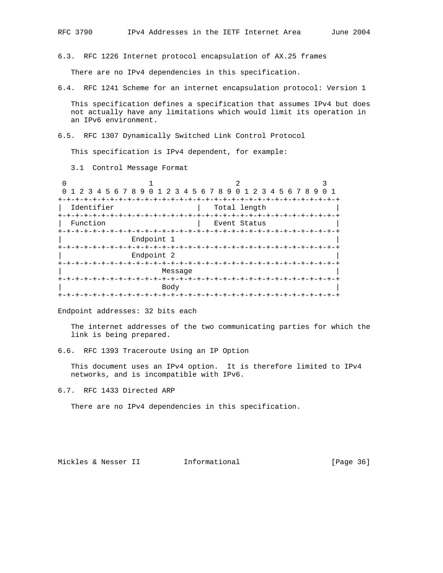6.3. RFC 1226 Internet protocol encapsulation of AX.25 frames

There are no IPv4 dependencies in this specification.

6.4. RFC 1241 Scheme for an internet encapsulation protocol: Version 1

 This specification defines a specification that assumes IPv4 but does not actually have any limitations which would limit its operation in an IPv6 environment.

6.5. RFC 1307 Dynamically Switched Link Control Protocol

This specification is IPv4 dependent, for example:

3.1 Control Message Format

0  $1$  2 3 0 1 2 3 4 5 6 7 8 9 0 1 2 3 4 5 6 7 8 9 0 1 2 3 4 5 6 7 8 9 0 1 +-+-+-+-+-+-+-+-+-+-+-+-+-+-+-+-+-+-+-+-+-+-+-+-+-+-+-+-+-+-+-+-+ | Identifier | Total length +-+-+-+-+-+-+-+-+-+-+-+-+-+-+-+-+-+-+-+-+-+-+-+-+-+-+-+-+-+-+-+-+ Function  $|$  Event Status +-+-+-+-+-+-+-+-+-+-+-+-+-+-+-+-+-+-+-+-+-+-+-+-+-+-+-+-+-+-+-+-+ Endpoint 1 +-+-+-+-+-+-+-+-+-+-+-+-+-+-+-+-+-+-+-+-+-+-+-+-+-+-+-+-+-+-+-+-+ Endpoint 2 +-+-+-+-+-+-+-+-+-+-+-+-+-+-+-+-+-+-+-+-+-+-+-+-+-+-+-+-+-+-+-+-+ | Message | +-+-+-+-+-+-+-+-+-+-+-+-+-+-+-+-+-+-+-+-+-+-+-+-+-+-+-+-+-+-+-+-+ | Body | +-+-+-+-+-+-+-+-+-+-+-+-+-+-+-+-+-+-+-+-+-+-+-+-+-+-+-+-+-+-+-+-+

Endpoint addresses: 32 bits each

 The internet addresses of the two communicating parties for which the link is being prepared.

6.6. RFC 1393 Traceroute Using an IP Option

 This document uses an IPv4 option. It is therefore limited to IPv4 networks, and is incompatible with IPv6.

6.7. RFC 1433 Directed ARP

There are no IPv4 dependencies in this specification.

Mickles & Nesser II 1nformational 11 and 1980 [Page 36]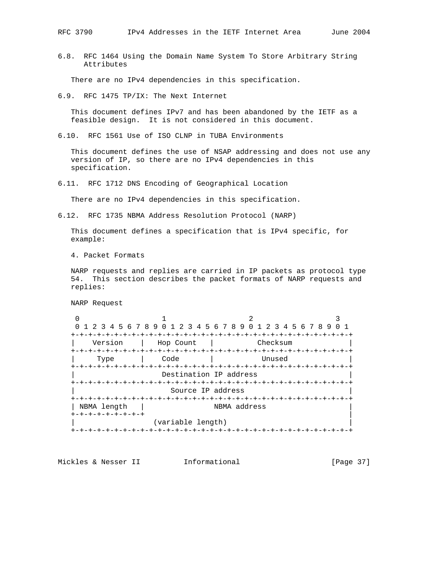6.8. RFC 1464 Using the Domain Name System To Store Arbitrary String Attributes

There are no IPv4 dependencies in this specification.

6.9. RFC 1475 TP/IX: The Next Internet

 This document defines IPv7 and has been abandoned by the IETF as a feasible design. It is not considered in this document.

6.10. RFC 1561 Use of ISO CLNP in TUBA Environments

 This document defines the use of NSAP addressing and does not use any version of IP, so there are no IPv4 dependencies in this specification.

6.11. RFC 1712 DNS Encoding of Geographical Location

There are no IPv4 dependencies in this specification.

6.12. RFC 1735 NBMA Address Resolution Protocol (NARP)

 This document defines a specification that is IPv4 specific, for example:

4. Packet Formats

 NARP requests and replies are carried in IP packets as protocol type 54. This section describes the packet formats of NARP requests and replies:

NARP Request

0  $1$  2 3 0 1 2 3 4 5 6 7 8 9 0 1 2 3 4 5 6 7 8 9 0 1 2 3 4 5 6 7 8 9 0 1 +-+-+-+-+-+-+-+-+-+-+-+-+-+-+-+-+-+-+-+-+-+-+-+-+-+-+-+-+-+-+-+-+ Version | Hop Count | Checksum +-+-+-+-+-+-+-+-+-+-+-+-+-+-+-+-+-+-+-+-+-+-+-+-+-+-+-+-+-+-+-+-+ | Type | Code | Unused | +-+-+-+-+-+-+-+-+-+-+-+-+-+-+-+-+-+-+-+-+-+-+-+-+-+-+-+-+-+-+-+-+ Destination IP address +-+-+-+-+-+-+-+-+-+-+-+-+-+-+-+-+-+-+-+-+-+-+-+-+-+-+-+-+-+-+-+-+ Source IP address +-+-+-+-+-+-+-+-+-+-+-+-+-+-+-+-+-+-+-+-+-+-+-+-+-+-+-+-+-+-+-+-+ | NBMA length | NBMA address +-+-+-+-+-+-+-+-+ | (variable length) +-+-+-+-+-+-+-+-+-+-+-+-+-+-+-+-+-+-+-+-+-+-+-+-+-+-+-+-+-+-+-+-+

Mickles & Nesser II 1nformational [Page 37]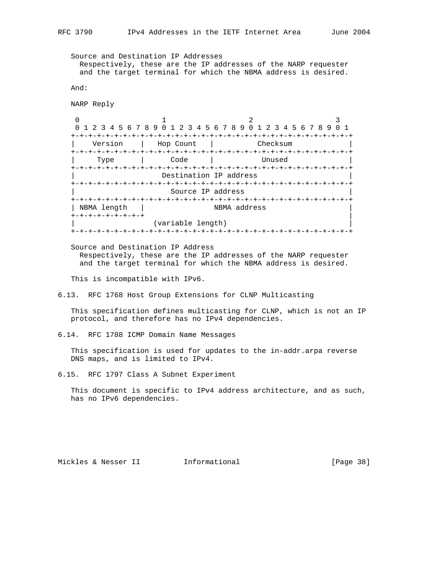Source and Destination IP Addresses Respectively, these are the IP addresses of the NARP requester and the target terminal for which the NBMA address is desired. And: NARP Reply 0  $1$  2 3 0 1 2 3 4 5 6 7 8 9 0 1 2 3 4 5 6 7 8 9 0 1 2 3 4 5 6 7 8 9 0 1 +-+-+-+-+-+-+-+-+-+-+-+-+-+-+-+-+-+-+-+-+-+-+-+-+-+-+-+-+-+-+-+-+ Version | Hop Count | Checksum +-+-+-+-+-+-+-+-+-+-+-+-+-+-+-+-+-+-+-+-+-+-+-+-+-+-+-+-+-+-+-+-+ | Type | Code | Unused | +-+-+-+-+-+-+-+-+-+-+-+-+-+-+-+-+-+-+-+-+-+-+-+-+-+-+-+-+-+-+-+-+ Destination IP address +-+-+-+-+-+-+-+-+-+-+-+-+-+-+-+-+-+-+-+-+-+-+-+-+-+-+-+-+-+-+-+-+ Source IP address +-+-+-+-+-+-+-+-+-+-+-+-+-+-+-+-+-+-+-+-+-+-+-+-+-+-+-+-+-+-+-+-+ | NBMA length | NBMA address +-+-+-+-+-+-+-+-+ | (variable length) +-+-+-+-+-+-+-+-+-+-+-+-+-+-+-+-+-+-+-+-+-+-+-+-+-+-+-+-+-+-+-+-+ Source and Destination IP Address Respectively, these are the IP addresses of the NARP requester and the target terminal for which the NBMA address is desired. This is incompatible with IPv6. 6.13. RFC 1768 Host Group Extensions for CLNP Multicasting This specification defines multicasting for CLNP, which is not an IP protocol, and therefore has no IPv4 dependencies. 6.14. RFC 1788 ICMP Domain Name Messages This specification is used for updates to the in-addr.arpa reverse DNS maps, and is limited to IPv4. 6.15. RFC 1797 Class A Subnet Experiment This document is specific to IPv4 address architecture, and as such, has no IPv6 dependencies.

Mickles & Nesser II 1nformational 11 and 1989 [Page 38]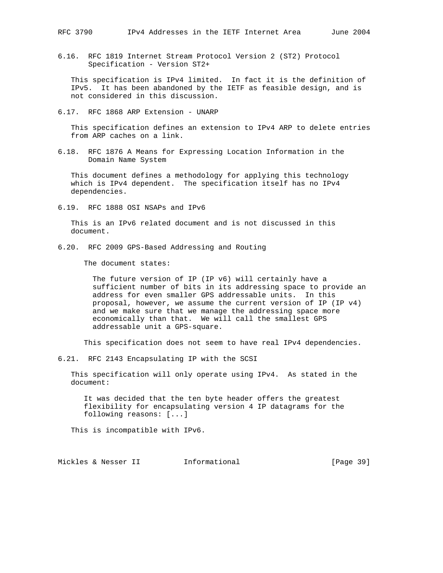6.16. RFC 1819 Internet Stream Protocol Version 2 (ST2) Protocol Specification - Version ST2+

 This specification is IPv4 limited. In fact it is the definition of IPv5. It has been abandoned by the IETF as feasible design, and is not considered in this discussion.

6.17. RFC 1868 ARP Extension - UNARP

 This specification defines an extension to IPv4 ARP to delete entries from ARP caches on a link.

6.18. RFC 1876 A Means for Expressing Location Information in the Domain Name System

 This document defines a methodology for applying this technology which is IPv4 dependent. The specification itself has no IPv4 dependencies.

6.19. RFC 1888 OSI NSAPs and IPv6

 This is an IPv6 related document and is not discussed in this document.

6.20. RFC 2009 GPS-Based Addressing and Routing

The document states:

 The future version of IP (IP v6) will certainly have a sufficient number of bits in its addressing space to provide an address for even smaller GPS addressable units. In this proposal, however, we assume the current version of IP (IP v4) and we make sure that we manage the addressing space more economically than that. We will call the smallest GPS addressable unit a GPS-square.

This specification does not seem to have real IPv4 dependencies.

6.21. RFC 2143 Encapsulating IP with the SCSI

 This specification will only operate using IPv4. As stated in the document:

 It was decided that the ten byte header offers the greatest flexibility for encapsulating version 4 IP datagrams for the following reasons: [...]

This is incompatible with IPv6.

Mickles & Nesser II 1nformational [Page 39]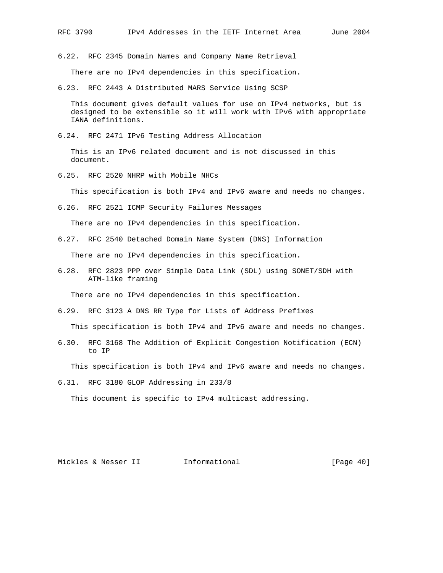6.22. RFC 2345 Domain Names and Company Name Retrieval

There are no IPv4 dependencies in this specification.

6.23. RFC 2443 A Distributed MARS Service Using SCSP

 This document gives default values for use on IPv4 networks, but is designed to be extensible so it will work with IPv6 with appropriate IANA definitions.

6.24. RFC 2471 IPv6 Testing Address Allocation

 This is an IPv6 related document and is not discussed in this document.

6.25. RFC 2520 NHRP with Mobile NHCs

This specification is both IPv4 and IPv6 aware and needs no changes.

6.26. RFC 2521 ICMP Security Failures Messages

There are no IPv4 dependencies in this specification.

6.27. RFC 2540 Detached Domain Name System (DNS) Information

There are no IPv4 dependencies in this specification.

6.28. RFC 2823 PPP over Simple Data Link (SDL) using SONET/SDH with ATM-like framing

There are no IPv4 dependencies in this specification.

6.29. RFC 3123 A DNS RR Type for Lists of Address Prefixes

This specification is both IPv4 and IPv6 aware and needs no changes.

6.30. RFC 3168 The Addition of Explicit Congestion Notification (ECN) to IP

This specification is both IPv4 and IPv6 aware and needs no changes.

6.31. RFC 3180 GLOP Addressing in 233/8

This document is specific to IPv4 multicast addressing.

Mickles & Nesser II 1nformational (Page 40)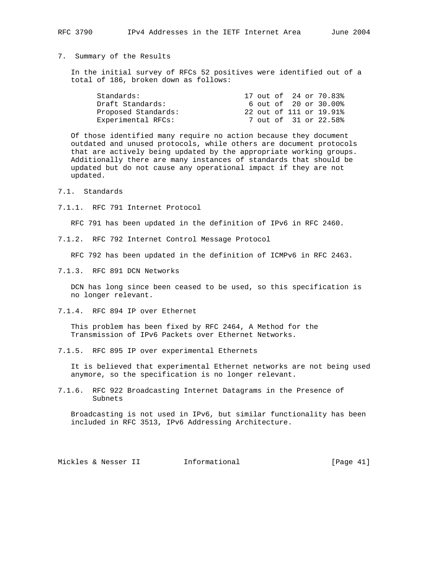## 7. Summary of the Results

 In the initial survey of RFCs 52 positives were identified out of a total of 186, broken down as follows:

|  |  | 17 out of 24 or 70.83%<br>6 out of 20 or 30.00%<br>22 out of 111 or 19.91%<br>7 out of 31 or 22.58% |
|--|--|-----------------------------------------------------------------------------------------------------|

 Of those identified many require no action because they document outdated and unused protocols, while others are document protocols that are actively being updated by the appropriate working groups. Additionally there are many instances of standards that should be updated but do not cause any operational impact if they are not updated.

- 7.1. Standards
- 7.1.1. RFC 791 Internet Protocol

RFC 791 has been updated in the definition of IPv6 in RFC 2460.

7.1.2. RFC 792 Internet Control Message Protocol

RFC 792 has been updated in the definition of ICMPv6 in RFC 2463.

7.1.3. RFC 891 DCN Networks

 DCN has long since been ceased to be used, so this specification is no longer relevant.

7.1.4. RFC 894 IP over Ethernet

 This problem has been fixed by RFC 2464, A Method for the Transmission of IPv6 Packets over Ethernet Networks.

7.1.5. RFC 895 IP over experimental Ethernets

 It is believed that experimental Ethernet networks are not being used anymore, so the specification is no longer relevant.

7.1.6. RFC 922 Broadcasting Internet Datagrams in the Presence of Subnets

 Broadcasting is not used in IPv6, but similar functionality has been included in RFC 3513, IPv6 Addressing Architecture.

Mickles & Nesser II 1nformational [Page 41]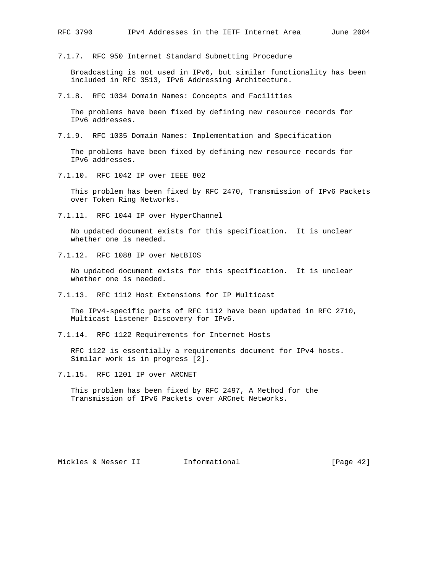7.1.7. RFC 950 Internet Standard Subnetting Procedure

 Broadcasting is not used in IPv6, but similar functionality has been included in RFC 3513, IPv6 Addressing Architecture.

7.1.8. RFC 1034 Domain Names: Concepts and Facilities

 The problems have been fixed by defining new resource records for IPv6 addresses.

7.1.9. RFC 1035 Domain Names: Implementation and Specification

 The problems have been fixed by defining new resource records for IPv6 addresses.

7.1.10. RFC 1042 IP over IEEE 802

 This problem has been fixed by RFC 2470, Transmission of IPv6 Packets over Token Ring Networks.

7.1.11. RFC 1044 IP over HyperChannel

 No updated document exists for this specification. It is unclear whether one is needed.

7.1.12. RFC 1088 IP over NetBIOS

 No updated document exists for this specification. It is unclear whether one is needed.

7.1.13. RFC 1112 Host Extensions for IP Multicast

 The IPv4-specific parts of RFC 1112 have been updated in RFC 2710, Multicast Listener Discovery for IPv6.

7.1.14. RFC 1122 Requirements for Internet Hosts

 RFC 1122 is essentially a requirements document for IPv4 hosts. Similar work is in progress [2].

7.1.15. RFC 1201 IP over ARCNET

 This problem has been fixed by RFC 2497, A Method for the Transmission of IPv6 Packets over ARCnet Networks.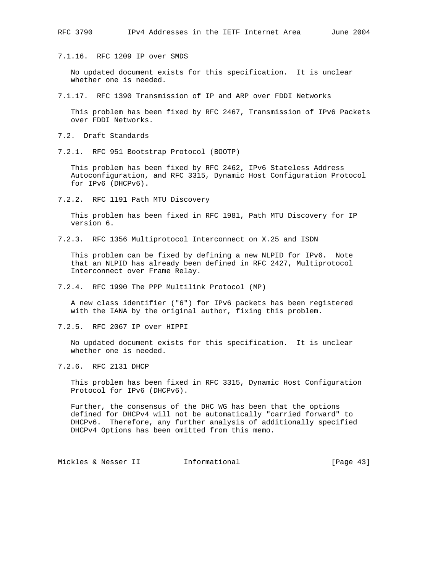7.1.16. RFC 1209 IP over SMDS

 No updated document exists for this specification. It is unclear whether one is needed.

7.1.17. RFC 1390 Transmission of IP and ARP over FDDI Networks

 This problem has been fixed by RFC 2467, Transmission of IPv6 Packets over FDDI Networks.

7.2. Draft Standards

7.2.1. RFC 951 Bootstrap Protocol (BOOTP)

 This problem has been fixed by RFC 2462, IPv6 Stateless Address Autoconfiguration, and RFC 3315, Dynamic Host Configuration Protocol for IPv6 (DHCPv6).

7.2.2. RFC 1191 Path MTU Discovery

 This problem has been fixed in RFC 1981, Path MTU Discovery for IP version 6.

7.2.3. RFC 1356 Multiprotocol Interconnect on X.25 and ISDN

 This problem can be fixed by defining a new NLPID for IPv6. Note that an NLPID has already been defined in RFC 2427, Multiprotocol Interconnect over Frame Relay.

7.2.4. RFC 1990 The PPP Multilink Protocol (MP)

 A new class identifier ("6") for IPv6 packets has been registered with the IANA by the original author, fixing this problem.

7.2.5. RFC 2067 IP over HIPPI

 No updated document exists for this specification. It is unclear whether one is needed.

7.2.6. RFC 2131 DHCP

 This problem has been fixed in RFC 3315, Dynamic Host Configuration Protocol for IPv6 (DHCPv6).

 Further, the consensus of the DHC WG has been that the options defined for DHCPv4 will not be automatically "carried forward" to DHCPv6. Therefore, any further analysis of additionally specified DHCPv4 Options has been omitted from this memo.

Mickles & Nesser II 1nformational 11 and [Page 43]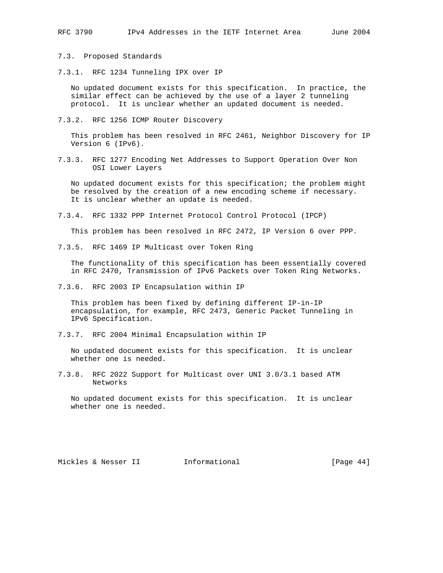7.3. Proposed Standards

7.3.1. RFC 1234 Tunneling IPX over IP

 No updated document exists for this specification. In practice, the similar effect can be achieved by the use of a layer 2 tunneling protocol. It is unclear whether an updated document is needed.

7.3.2. RFC 1256 ICMP Router Discovery

 This problem has been resolved in RFC 2461, Neighbor Discovery for IP Version 6 (IPv6).

7.3.3. RFC 1277 Encoding Net Addresses to Support Operation Over Non OSI Lower Layers

 No updated document exists for this specification; the problem might be resolved by the creation of a new encoding scheme if necessary. It is unclear whether an update is needed.

7.3.4. RFC 1332 PPP Internet Protocol Control Protocol (IPCP)

This problem has been resolved in RFC 2472, IP Version 6 over PPP.

7.3.5. RFC 1469 IP Multicast over Token Ring

 The functionality of this specification has been essentially covered in RFC 2470, Transmission of IPv6 Packets over Token Ring Networks.

7.3.6. RFC 2003 IP Encapsulation within IP

 This problem has been fixed by defining different IP-in-IP encapsulation, for example, RFC 2473, Generic Packet Tunneling in IPv6 Specification.

7.3.7. RFC 2004 Minimal Encapsulation within IP

 No updated document exists for this specification. It is unclear whether one is needed.

7.3.8. RFC 2022 Support for Multicast over UNI 3.0/3.1 based ATM Networks

 No updated document exists for this specification. It is unclear whether one is needed.

Mickles & Nesser II 1nformational [Page 44]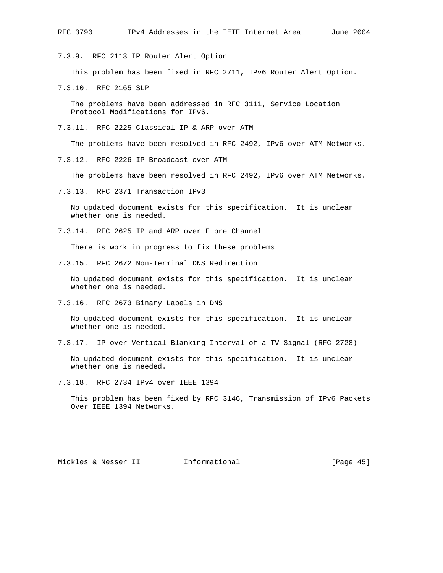7.3.9. RFC 2113 IP Router Alert Option

This problem has been fixed in RFC 2711, IPv6 Router Alert Option.

7.3.10. RFC 2165 SLP

 The problems have been addressed in RFC 3111, Service Location Protocol Modifications for IPv6.

7.3.11. RFC 2225 Classical IP & ARP over ATM

The problems have been resolved in RFC 2492, IPv6 over ATM Networks.

7.3.12. RFC 2226 IP Broadcast over ATM

The problems have been resolved in RFC 2492, IPv6 over ATM Networks.

7.3.13. RFC 2371 Transaction IPv3

 No updated document exists for this specification. It is unclear whether one is needed.

7.3.14. RFC 2625 IP and ARP over Fibre Channel

There is work in progress to fix these problems

7.3.15. RFC 2672 Non-Terminal DNS Redirection

 No updated document exists for this specification. It is unclear whether one is needed.

7.3.16. RFC 2673 Binary Labels in DNS

 No updated document exists for this specification. It is unclear whether one is needed.

7.3.17. IP over Vertical Blanking Interval of a TV Signal (RFC 2728)

 No updated document exists for this specification. It is unclear whether one is needed.

7.3.18. RFC 2734 IPv4 over IEEE 1394

 This problem has been fixed by RFC 3146, Transmission of IPv6 Packets Over IEEE 1394 Networks.

Mickles & Nesser II 1nformational (Page 45)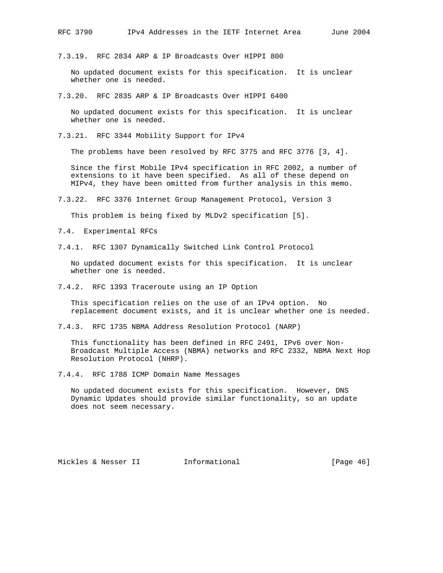7.3.19. RFC 2834 ARP & IP Broadcasts Over HIPPI 800

 No updated document exists for this specification. It is unclear whether one is needed.

7.3.20. RFC 2835 ARP & IP Broadcasts Over HIPPI 6400

 No updated document exists for this specification. It is unclear whether one is needed.

7.3.21. RFC 3344 Mobility Support for IPv4

The problems have been resolved by RFC 3775 and RFC 3776 [3, 4].

 Since the first Mobile IPv4 specification in RFC 2002, a number of extensions to it have been specified. As all of these depend on MIPv4, they have been omitted from further analysis in this memo.

7.3.22. RFC 3376 Internet Group Management Protocol, Version 3

This problem is being fixed by MLDv2 specification [5].

7.4. Experimental RFCs

7.4.1. RFC 1307 Dynamically Switched Link Control Protocol

 No updated document exists for this specification. It is unclear whether one is needed.

7.4.2. RFC 1393 Traceroute using an IP Option

 This specification relies on the use of an IPv4 option. No replacement document exists, and it is unclear whether one is needed.

7.4.3. RFC 1735 NBMA Address Resolution Protocol (NARP)

 This functionality has been defined in RFC 2491, IPv6 over Non- Broadcast Multiple Access (NBMA) networks and RFC 2332, NBMA Next Hop Resolution Protocol (NHRP).

7.4.4. RFC 1788 ICMP Domain Name Messages

 No updated document exists for this specification. However, DNS Dynamic Updates should provide similar functionality, so an update does not seem necessary.

Mickles & Nesser II 1nformational 11 and 1989 (Page 46)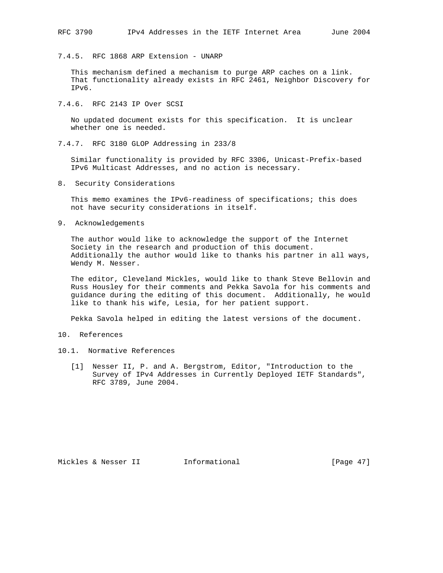7.4.5. RFC 1868 ARP Extension - UNARP

 This mechanism defined a mechanism to purge ARP caches on a link. That functionality already exists in RFC 2461, Neighbor Discovery for IPv6.

7.4.6. RFC 2143 IP Over SCSI

 No updated document exists for this specification. It is unclear whether one is needed.

7.4.7. RFC 3180 GLOP Addressing in 233/8

 Similar functionality is provided by RFC 3306, Unicast-Prefix-based IPv6 Multicast Addresses, and no action is necessary.

8. Security Considerations

 This memo examines the IPv6-readiness of specifications; this does not have security considerations in itself.

9. Acknowledgements

 The author would like to acknowledge the support of the Internet Society in the research and production of this document. Additionally the author would like to thanks his partner in all ways, Wendy M. Nesser.

 The editor, Cleveland Mickles, would like to thank Steve Bellovin and Russ Housley for their comments and Pekka Savola for his comments and guidance during the editing of this document. Additionally, he would like to thank his wife, Lesia, for her patient support.

Pekka Savola helped in editing the latest versions of the document.

- 10. References
- 10.1. Normative References
	- [1] Nesser II, P. and A. Bergstrom, Editor, "Introduction to the Survey of IPv4 Addresses in Currently Deployed IETF Standards", RFC 3789, June 2004.

Mickles & Nesser II 1nformational [Page 47]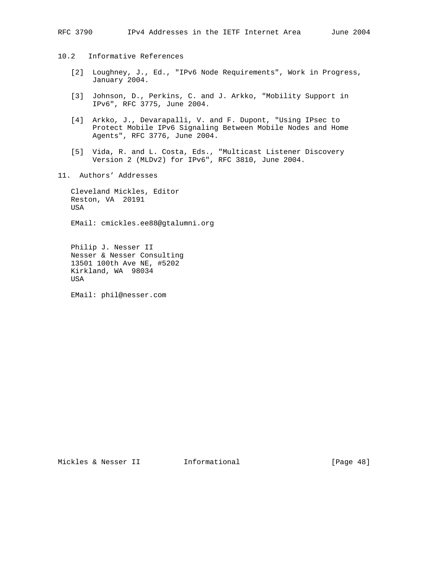- 10.2 Informative References
	- [2] Loughney, J., Ed., "IPv6 Node Requirements", Work in Progress, January 2004.
	- [3] Johnson, D., Perkins, C. and J. Arkko, "Mobility Support in IPv6", RFC 3775, June 2004.
	- [4] Arkko, J., Devarapalli, V. and F. Dupont, "Using IPsec to Protect Mobile IPv6 Signaling Between Mobile Nodes and Home Agents", RFC 3776, June 2004.
	- [5] Vida, R. and L. Costa, Eds., "Multicast Listener Discovery Version 2 (MLDv2) for IPv6", RFC 3810, June 2004.
- 11. Authors' Addresses

 Cleveland Mickles, Editor Reston, VA 20191 USA

EMail: cmickles.ee88@gtalumni.org

 Philip J. Nesser II Nesser & Nesser Consulting 13501 100th Ave NE, #5202 Kirkland, WA 98034 USA

EMail: phil@nesser.com